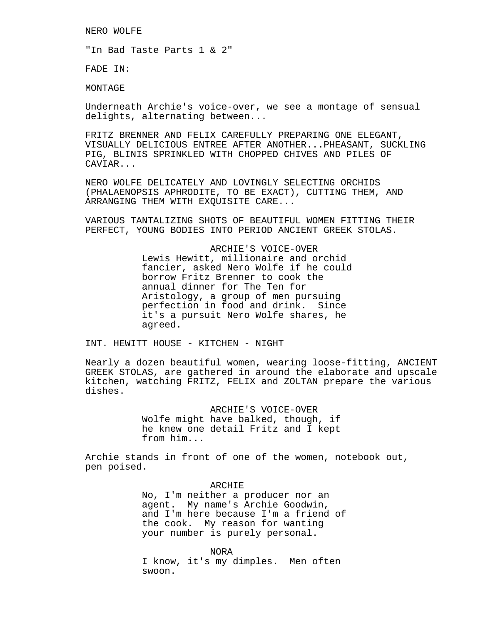NERO WOLFE

"In Bad Taste Parts 1 & 2"

FADE IN:

MONTAGE

Underneath Archie's voice-over, we see a montage of sensual delights, alternating between...

FRITZ BRENNER AND FELIX CAREFULLY PREPARING ONE ELEGANT, VISUALLY DELICIOUS ENTREE AFTER ANOTHER...PHEASANT, SUCKLING PIG, BLINIS SPRINKLED WITH CHOPPED CHIVES AND PILES OF CAVIAR...

NERO WOLFE DELICATELY AND LOVINGLY SELECTING ORCHIDS (PHALAENOPSIS APHRODITE, TO BE EXACT), CUTTING THEM, AND ARRANGING THEM WITH EXQUISITE CARE...

VARIOUS TANTALIZING SHOTS OF BEAUTIFUL WOMEN FITTING THEIR PERFECT, YOUNG BODIES INTO PERIOD ANCIENT GREEK STOLAS.

> ARCHIE'S VOICE-OVER Lewis Hewitt, millionaire and orchid fancier, asked Nero Wolfe if he could borrow Fritz Brenner to cook the annual dinner for The Ten for Aristology, a group of men pursuing perfection in food and drink. Since it's a pursuit Nero Wolfe shares, he agreed.

INT. HEWITT HOUSE - KITCHEN - NIGHT

Nearly a dozen beautiful women, wearing loose-fitting, ANCIENT GREEK STOLAS, are gathered in around the elaborate and upscale kitchen, watching FRITZ, FELIX and ZOLTAN prepare the various dishes.

> ARCHIE'S VOICE-OVER Wolfe might have balked, though, if he knew one detail Fritz and I kept from him...

Archie stands in front of one of the women, notebook out, pen poised.

> ARCHIE No, I'm neither a producer nor an agent. My name's Archie Goodwin, and I'm here because I'm a friend of the cook. My reason for wanting your number is purely personal.

NORA I know, it's my dimples. Men often swoon.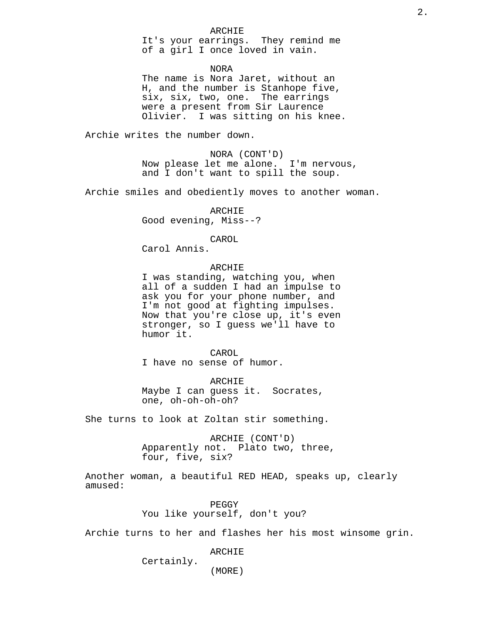### ARCHIE

It's your earrings. They remind me of a girl I once loved in vain.

NORA

The name is Nora Jaret, without an H, and the number is Stanhope five, six, six, two, one. The earrings were a present from Sir Laurence Olivier. I was sitting on his knee.

Archie writes the number down.

NORA (CONT'D) Now please let me alone. I'm nervous, and I don't want to spill the soup.

Archie smiles and obediently moves to another woman.

ARCHIE Good evening, Miss--?

CAROL

Carol Annis.

## ARCHIE

I was standing, watching you, when all of a sudden I had an impulse to ask you for your phone number, and I'm not good at fighting impulses. Now that you're close up, it's even stronger, so I guess we'll have to humor it.

CAROL I have no sense of humor.

ARCHIE Maybe I can guess it. Socrates, one, oh-oh-oh-oh?

She turns to look at Zoltan stir something.

ARCHIE (CONT'D) Apparently not. Plato two, three, four, five, six?

Another woman, a beautiful RED HEAD, speaks up, clearly amused:

> PEGGY You like yourself, don't you?

Archie turns to her and flashes her his most winsome grin.

ARCHIE

(MORE)

Certainly.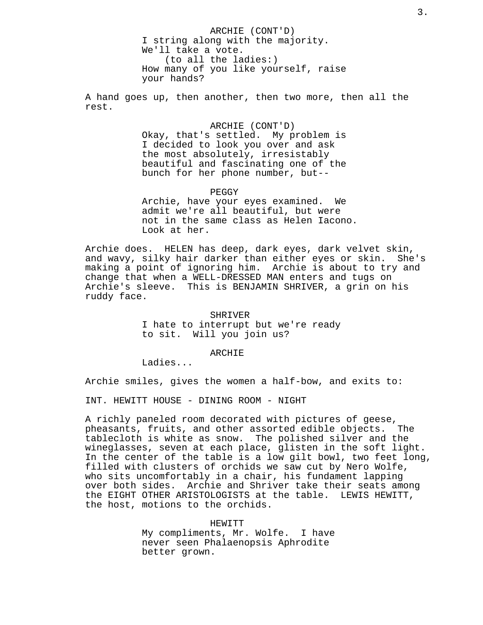ARCHIE (CONT'D) I string along with the majority. We'll take a vote. (to all the ladies:) How many of you like yourself, raise your hands?

A hand goes up, then another, then two more, then all the rest.

> ARCHIE (CONT'D) Okay, that's settled. My problem is I decided to look you over and ask the most absolutely, irresistably beautiful and fascinating one of the bunch for her phone number, but--

PEGGY Archie, have your eyes examined. We admit we're all beautiful, but were not in the same class as Helen Iacono. Look at her.

Archie does. HELEN has deep, dark eyes, dark velvet skin, and wavy, silky hair darker than either eyes or skin. She's making a point of ignoring him. Archie is about to try and change that when a WELL-DRESSED MAN enters and tugs on Archie's sleeve. This is BENJAMIN SHRIVER, a grin on his ruddy face.

> SHRIVER I hate to interrupt but we're ready to sit. Will you join us?

### ARCHIE

Ladies...

Archie smiles, gives the women a half-bow, and exits to:

INT. HEWITT HOUSE - DINING ROOM - NIGHT

A richly paneled room decorated with pictures of geese, pheasants, fruits, and other assorted edible objects. The tablecloth is white as snow. The polished silver and the wineglasses, seven at each place, glisten in the soft light. In the center of the table is a low gilt bowl, two feet long, filled with clusters of orchids we saw cut by Nero Wolfe, who sits uncomfortably in a chair, his fundament lapping over both sides. Archie and Shriver take their seats among the EIGHT OTHER ARISTOLOGISTS at the table. LEWIS HEWITT, the host, motions to the orchids.

> HEWITT My compliments, Mr. Wolfe. I have never seen Phalaenopsis Aphrodite better grown.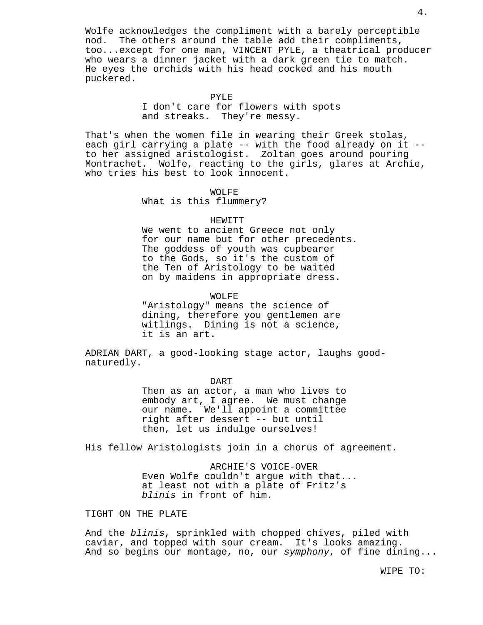Wolfe acknowledges the compliment with a barely perceptible nod. The others around the table add their compliments, too...except for one man, VINCENT PYLE, a theatrical producer who wears a dinner jacket with a dark green tie to match. He eyes the orchids with his head cocked and his mouth puckered.

#### PYLE

I don't care for flowers with spots and streaks. They're messy.

That's when the women file in wearing their Greek stolas, each girl carrying a plate -- with the food already on it - to her assigned aristologist. Zoltan goes around pouring Montrachet. Wolfe, reacting to the girls, glares at Archie, who tries his best to look innocent.

WOLFE

What is this flummery?

## HEWITT

We went to ancient Greece not only for our name but for other precedents. The goddess of youth was cupbearer to the Gods, so it's the custom of the Ten of Aristology to be waited on by maidens in appropriate dress.

WOLFE

"Aristology" means the science of dining, therefore you gentlemen are witlings. Dining is not a science, it is an art.

ADRIAN DART, a good-looking stage actor, laughs goodnaturedly.

> DART Then as an actor, a man who lives to embody art, I agree. We must change our name. We'll appoint a committee right after dessert -- but until then, let us indulge ourselves!

His fellow Aristologists join in a chorus of agreement.

ARCHIE'S VOICE-OVER Even Wolfe couldn't argue with that... at least not with a plate of Fritz's blinis in front of him.

TIGHT ON THE PLATE

And the blinis, sprinkled with chopped chives, piled with caviar, and topped with sour cream. It's looks amazing. And so begins our montage, no, our symphony, of fine dining...

WIPE TO: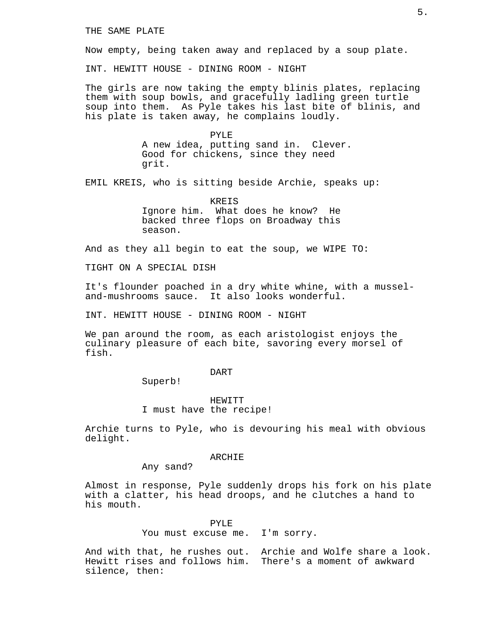Now empty, being taken away and replaced by a soup plate.

INT. HEWITT HOUSE - DINING ROOM - NIGHT

The girls are now taking the empty blinis plates, replacing them with soup bowls, and gracefully ladling green turtle soup into them. As Pyle takes his last bite of blinis, and his plate is taken away, he complains loudly.

> PYLE A new idea, putting sand in. Clever. Good for chickens, since they need grit.

EMIL KREIS, who is sitting beside Archie, speaks up:

KREIS Ignore him. What does he know? He backed three flops on Broadway this season.

And as they all begin to eat the soup, we WIPE TO:

TIGHT ON A SPECIAL DISH

It's flounder poached in a dry white whine, with a musseland-mushrooms sauce. It also looks wonderful.

INT. HEWITT HOUSE - DINING ROOM - NIGHT

We pan around the room, as each aristologist enjoys the culinary pleasure of each bite, savoring every morsel of fish.

#### DART

Superb!

HEWITT I must have the recipe!

Archie turns to Pyle, who is devouring his meal with obvious delight.

#### ARCHIE

Any sand?

Almost in response, Pyle suddenly drops his fork on his plate with a clatter, his head droops, and he clutches a hand to his mouth.

PYLE

You must excuse me. I'm sorry.

And with that, he rushes out. Archie and Wolfe share a look. Hewitt rises and follows him. There's a moment of awkward silence, then: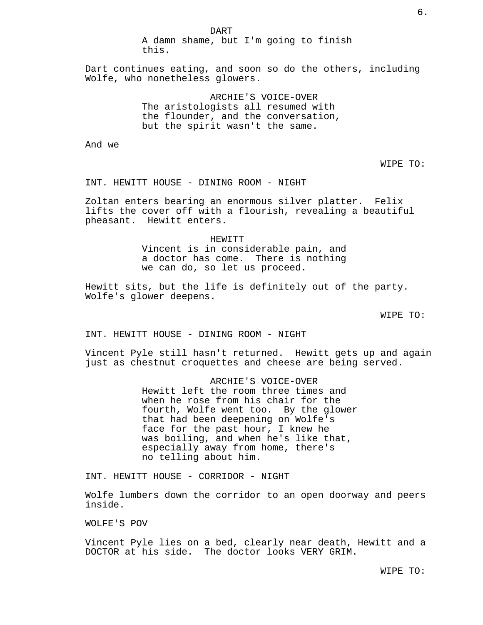Dart continues eating, and soon so do the others, including Wolfe, who nonetheless glowers.

> ARCHIE'S VOICE-OVER The aristologists all resumed with the flounder, and the conversation, but the spirit wasn't the same.

And we

WIPE TO:

INT. HEWITT HOUSE - DINING ROOM - NIGHT

Zoltan enters bearing an enormous silver platter. Felix lifts the cover off with a flourish, revealing a beautiful pheasant. Hewitt enters.

> HEWITT Vincent is in considerable pain, and a doctor has come. There is nothing we can do, so let us proceed.

Hewitt sits, but the life is definitely out of the party. Wolfe's glower deepens.

WIPE TO:

INT. HEWITT HOUSE - DINING ROOM - NIGHT

Vincent Pyle still hasn't returned. Hewitt gets up and again just as chestnut croquettes and cheese are being served.

> ARCHIE'S VOICE-OVER Hewitt left the room three times and when he rose from his chair for the fourth, Wolfe went too. By the glower that had been deepening on Wolfe's face for the past hour, I knew he was boiling, and when he's like that, especially away from home, there's no telling about him.

INT. HEWITT HOUSE - CORRIDOR - NIGHT

Wolfe lumbers down the corridor to an open doorway and peers inside.

WOLFE'S POV

Vincent Pyle lies on a bed, clearly near death, Hewitt and a DOCTOR at his side. The doctor looks VERY GRIM.

WIPE TO: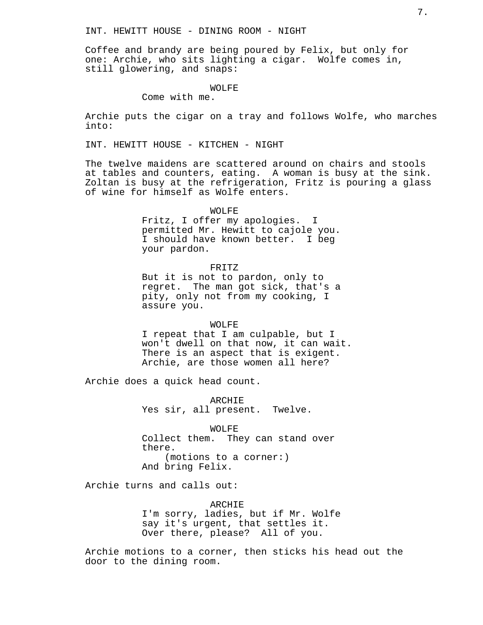Coffee and brandy are being poured by Felix, but only for one: Archie, who sits lighting a cigar. Wolfe comes in, still glowering, and snaps:

#### WOLFE

Come with me.

Archie puts the cigar on a tray and follows Wolfe, who marches into:

INT. HEWITT HOUSE - KITCHEN - NIGHT

The twelve maidens are scattered around on chairs and stools at tables and counters, eating. A woman is busy at the sink. Zoltan is busy at the refrigeration, Fritz is pouring a glass of wine for himself as Wolfe enters.

#### WOLFE

Fritz, I offer my apologies. I permitted Mr. Hewitt to cajole you. I should have known better. I beg your pardon.

### FRITZ

But it is not to pardon, only to regret. The man got sick, that's a pity, only not from my cooking, I assure you.

#### WOLFE

I repeat that I am culpable, but I won't dwell on that now, it can wait. There is an aspect that is exigent. Archie, are those women all here?

Archie does a quick head count.

ARCHIE Yes sir, all present. Twelve.

WOLFE Collect them. They can stand over there. (motions to a corner:) And bring Felix.

Archie turns and calls out:

ARCHIE I'm sorry, ladies, but if Mr. Wolfe say it's urgent, that settles it. Over there, please? All of you.

Archie motions to a corner, then sticks his head out the door to the dining room.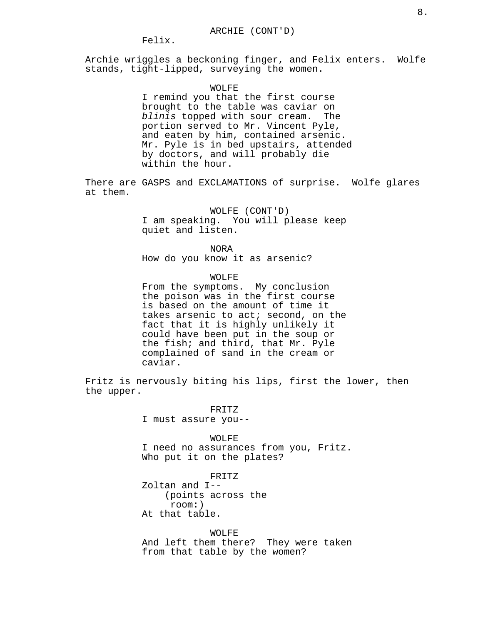## Felix.

Archie wriggles a beckoning finger, and Felix enters. Wolfe stands, tight-lipped, surveying the women.

## WOLFE

I remind you that the first course brought to the table was caviar on blinis topped with sour cream. The portion served to Mr. Vincent Pyle, and eaten by him, contained arsenic. Mr. Pyle is in bed upstairs, attended by doctors, and will probably die within the hour.

There are GASPS and EXCLAMATIONS of surprise. Wolfe glares at them.

> WOLFE (CONT'D) I am speaking. You will please keep quiet and listen.

NORA How do you know it as arsenic?

## WOLFE

From the symptoms. My conclusion the poison was in the first course is based on the amount of time it takes arsenic to act; second, on the fact that it is highly unlikely it could have been put in the soup or the fish; and third, that Mr. Pyle complained of sand in the cream or caviar.

Fritz is nervously biting his lips, first the lower, then the upper.

> FRITZ I must assure you--

> > WOLFE

I need no assurances from you, Fritz. Who put it on the plates?

FRITZ Zoltan and I-- (points across the room:) At that table.

WOLFE And left them there? They were taken from that table by the women?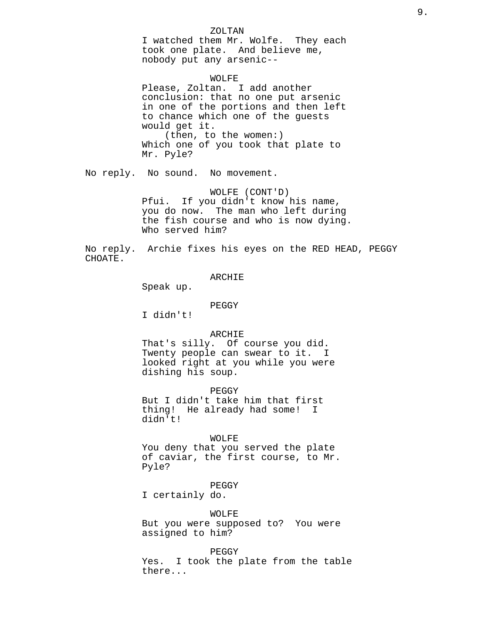### ZOLTAN

I watched them Mr. Wolfe. They each took one plate. And believe me, nobody put any arsenic--

#### WOLFE

Please, Zoltan. I add another conclusion: that no one put arsenic in one of the portions and then left to chance which one of the guests would get it. (then, to the women:) Which one of you took that plate to Mr. Pyle?

No reply. No sound. No movement.

WOLFE (CONT'D) Pfui. If you didn't know his name, you do now. The man who left during the fish course and who is now dying. Who served him?

No reply. Archie fixes his eyes on the RED HEAD, PEGGY CHOATE.

## ARCHIE

Speak up.

#### PEGGY

I didn't!

## ARCHIE

That's silly. Of course you did. Twenty people can swear to it. I looked right at you while you were dishing his soup.

PEGGY

But I didn't take him that first thing! He already had some! I didn't!

## WOLFE

You deny that you served the plate of caviar, the first course, to Mr. Pyle?

## PEGGY

I certainly do.

#### WOLFE

But you were supposed to? You were assigned to him?

#### PEGGY

Yes. I took the plate from the table there...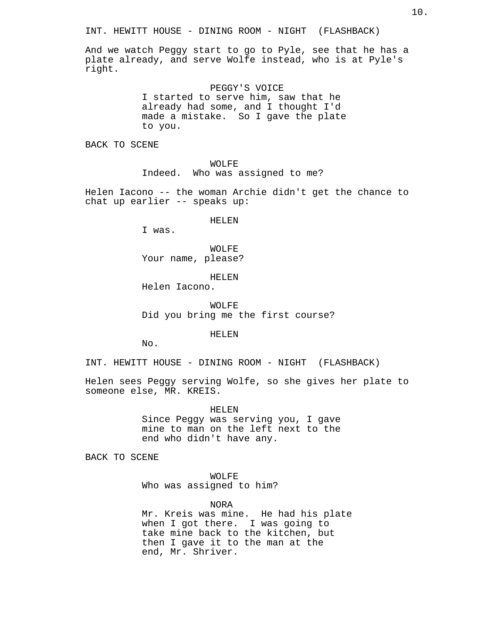And we watch Peggy start to go to Pyle, see that he has a plate already, and serve Wolfe instead, who is at Pyle's right.

> PEGGY'S VOICE I started to serve him, saw that he already had some, and I thought I'd made a mistake. So I gave the plate to you.

BACK TO SCENE

WOLFE Indeed. Who was assigned to me?

Helen Iacono -- the woman Archie didn't get the chance to chat up earlier -- speaks up:

HELEN

I was.

WOLFE Your name, please?

HELEN

Helen Iacono.

WOLFE Did you bring me the first course?

HELEN

No.

INT. HEWITT HOUSE - DINING ROOM - NIGHT (FLASHBACK)

Helen sees Peggy serving Wolfe, so she gives her plate to someone else, MR. KREIS.

> HELEN Since Peggy was serving you, I gave mine to man on the left next to the end who didn't have any.

BACK TO SCENE

WOLFE Who was assigned to him?

NORA

Mr. Kreis was mine. He had his plate when I got there. I was going to take mine back to the kitchen, but then I gave it to the man at the end, Mr. Shriver.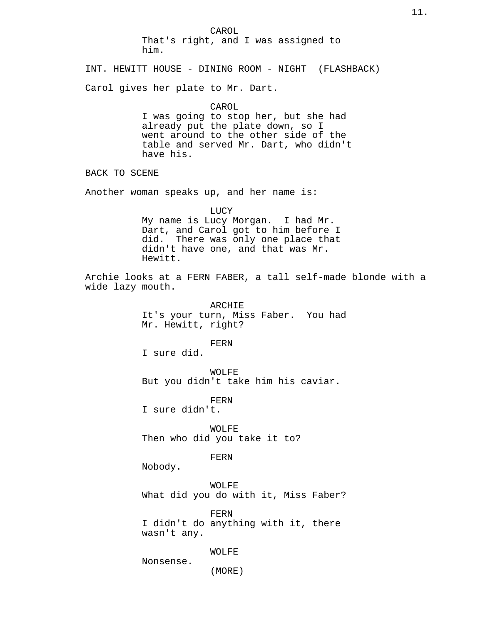CAROL That's right, and I was assigned to him. INT. HEWITT HOUSE - DINING ROOM - NIGHT (FLASHBACK) Carol gives her plate to Mr. Dart. CAROL I was going to stop her, but she had already put the plate down, so I went around to the other side of the table and served Mr. Dart, who didn't have his. BACK TO SCENE Another woman speaks up, and her name is:

LUCY My name is Lucy Morgan. I had Mr. Dart, and Carol got to him before I did. There was only one place that didn't have one, and that was Mr. Hewitt.

Archie looks at a FERN FABER, a tall self-made blonde with a wide lazy mouth.

> ARCHIE It's your turn, Miss Faber. You had Mr. Hewitt, right?

> > FERN

I sure did.

WOLFE But you didn't take him his caviar.

FERN

I sure didn't.

WOLFE Then who did you take it to?

FERN

Nobody.

WOLFE What did you do with it, Miss Faber?

FERN I didn't do anything with it, there wasn't any.

WOLFE

(MORE)

Nonsense.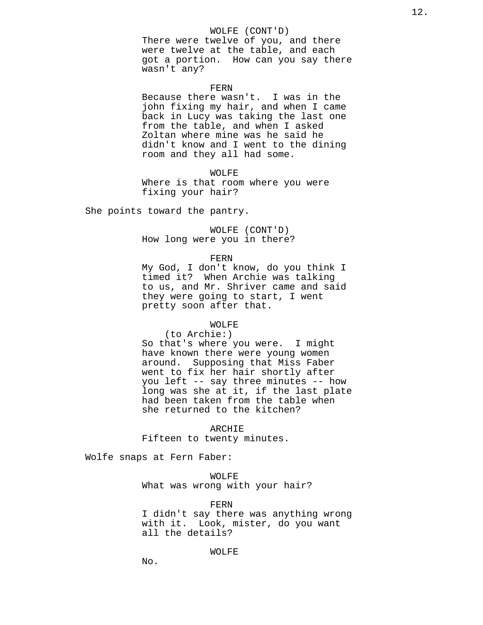### WOLFE (CONT'D)

There were twelve of you, and there were twelve at the table, and each got a portion. How can you say there wasn't any?

## FERN

Because there wasn't. I was in the john fixing my hair, and when I came back in Lucy was taking the last one from the table, and when I asked Zoltan where mine was he said he didn't know and I went to the dining room and they all had some.

### WOLFE

Where is that room where you were fixing your hair?

She points toward the pantry.

WOLFE (CONT'D) How long were you in there?

FERN

My God, I don't know, do you think I timed it? When Archie was talking to us, and Mr. Shriver came and said they were going to start, I went pretty soon after that.

## WOLFE

(to Archie:)

So that's where you were. I might have known there were young women around. Supposing that Miss Faber went to fix her hair shortly after you left -- say three minutes -- how long was she at it, if the last plate had been taken from the table when she returned to the kitchen?

ARCHIE

Fifteen to twenty minutes.

Wolfe snaps at Fern Faber:

WOLFE What was wrong with your hair?

FERN

I didn't say there was anything wrong with it. Look, mister, do you want all the details?

WOLFE

No.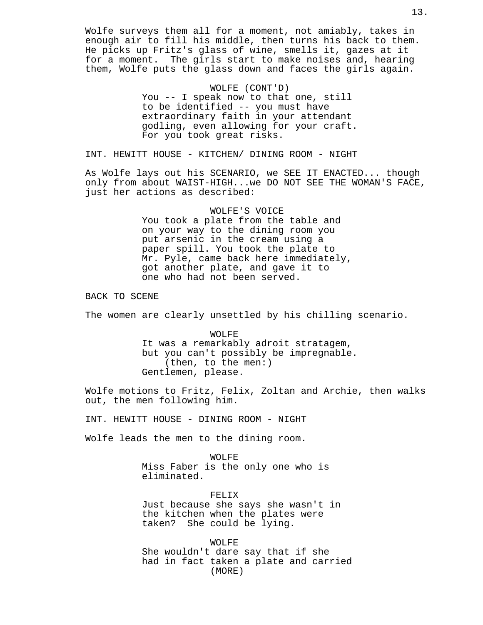Wolfe surveys them all for a moment, not amiably, takes in enough air to fill his middle, then turns his back to them. He picks up Fritz's glass of wine, smells it, gazes at it for a moment. The girls start to make noises and, hearing them, Wolfe puts the glass down and faces the girls again.

> WOLFE (CONT'D) You -- I speak now to that one, still to be identified -- you must have extraordinary faith in your attendant godling, even allowing for your craft. For you took great risks.

INT. HEWITT HOUSE - KITCHEN/ DINING ROOM - NIGHT

As Wolfe lays out his SCENARIO, we SEE IT ENACTED... though only from about WAIST-HIGH...we DO NOT SEE THE WOMAN'S FACE, just her actions as described:

> WOLFE'S VOICE You took a plate from the table and on your way to the dining room you put arsenic in the cream using a paper spill. You took the plate to Mr. Pyle, came back here immediately, got another plate, and gave it to one who had not been served.

BACK TO SCENE

The women are clearly unsettled by his chilling scenario.

WOLFE It was a remarkably adroit stratagem, but you can't possibly be impregnable. (then, to the men:) Gentlemen, please.

Wolfe motions to Fritz, Felix, Zoltan and Archie, then walks out, the men following him.

INT. HEWITT HOUSE - DINING ROOM - NIGHT

Wolfe leads the men to the dining room.

WOLFE Miss Faber is the only one who is eliminated.

FELIX Just because she says she wasn't in the kitchen when the plates were taken? She could be lying.

WOLFE She wouldn't dare say that if she had in fact taken a plate and carried (MORE)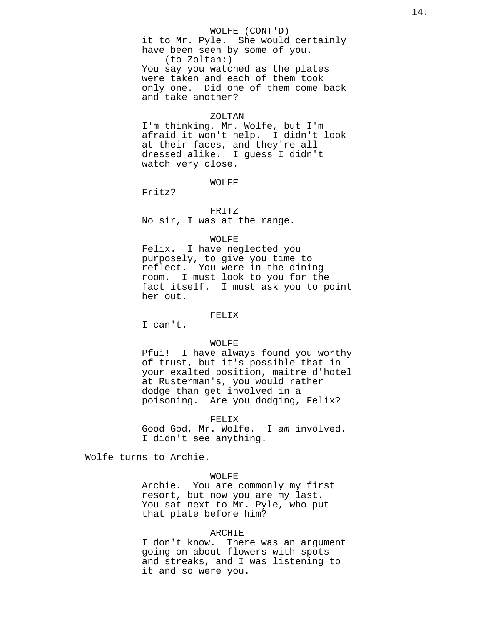### WOLFE (CONT'D)

it to Mr. Pyle. She would certainly have been seen by some of you. (to Zoltan:) You say you watched as the plates were taken and each of them took only one. Did one of them come back and take another?

#### ZOLTAN

I'm thinking, Mr. Wolfe, but I'm afraid it won't help. I didn't look at their faces, and they're all dressed alike. I guess I didn't watch very close.

### WOLFE

Fritz?

#### FRITZ

No sir, I was at the range.

## WOLFE

Felix. I have neglected you purposely, to give you time to reflect. You were in the dining room. I must look to you for the fact itself. I must ask you to point her out.

## FELIX

I can't.

## WOLFE

Pfui! I have always found you worthy of trust, but it's possible that in your exalted position, maitre d'hotel at Rusterman's, you would rather dodge than get involved in a poisoning. Are you dodging, Felix?

#### FELIX

Good God, Mr. Wolfe. I am involved. I didn't see anything.

Wolfe turns to Archie.

## WOLFE

Archie. You are commonly my first resort, but now you are my last. You sat next to Mr. Pyle, who put that plate before him?

## ARCHIE

I don't know. There was an argument going on about flowers with spots and streaks, and I was listening to it and so were you.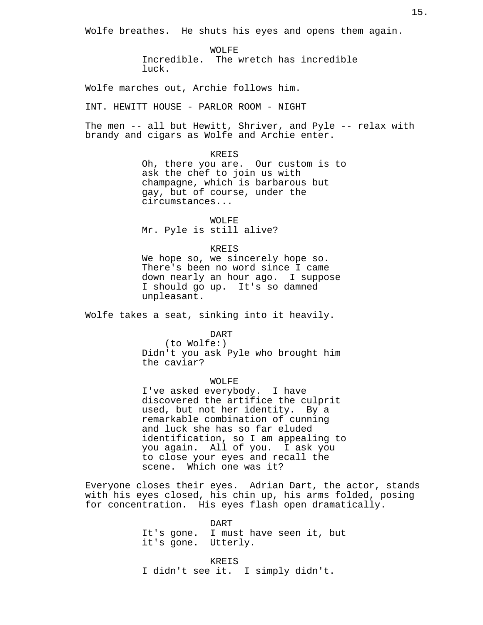Wolfe breathes. He shuts his eyes and opens them again.

WOLFE Incredible. The wretch has incredible luck.

Wolfe marches out, Archie follows him.

INT. HEWITT HOUSE - PARLOR ROOM - NIGHT

The men -- all but Hewitt, Shriver, and Pyle -- relax with brandy and cigars as Wolfe and Archie enter.

KREIS

Oh, there you are. Our custom is to ask the chef to join us with champagne, which is barbarous but gay, but of course, under the circumstances...

WOLFE Mr. Pyle is still alive?

#### KREIS

We hope so, we sincerely hope so. There's been no word since I came down nearly an hour ago. I suppose I should go up. It's so damned unpleasant.

Wolfe takes a seat, sinking into it heavily.

DART

(to Wolfe:) Didn't you ask Pyle who brought him the caviar?

## WOLFE

I've asked everybody. I have discovered the artifice the culprit used, but not her identity. By a remarkable combination of cunning and luck she has so far eluded identification, so I am appealing to you again. All of you. I ask you to close your eyes and recall the scene. Which one was it?

Everyone closes their eyes. Adrian Dart, the actor, stands with his eyes closed, his chin up, his arms folded, posing for concentration. His eyes flash open dramatically.

> DART It's gone. I must have seen it, but it's gone. Utterly.

KREIS I didn't see it. I simply didn't.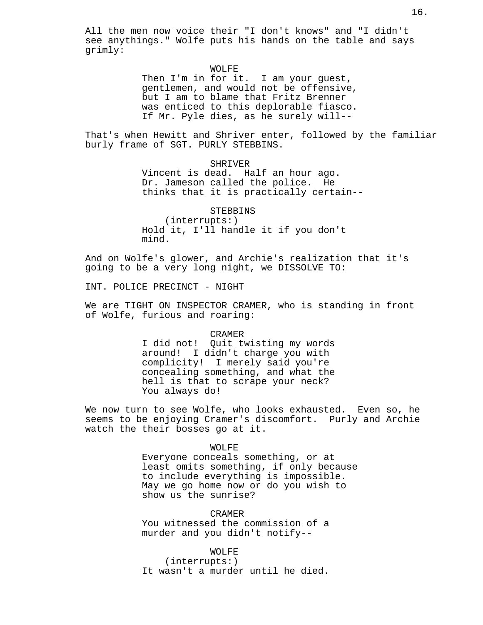All the men now voice their "I don't knows" and "I didn't see anythings." Wolfe puts his hands on the table and says grimly:

## WOLFE

Then I'm in for it. I am your guest, gentlemen, and would not be offensive, but I am to blame that Fritz Brenner was enticed to this deplorable fiasco. If Mr. Pyle dies, as he surely will--

That's when Hewitt and Shriver enter, followed by the familiar burly frame of SGT. PURLY STEBBINS.

> SHRIVER Vincent is dead. Half an hour ago. Dr. Jameson called the police. He thinks that it is practically certain--

STEBBINS (interrupts:) Hold it, I'll handle it if you don't mind.

And on Wolfe's glower, and Archie's realization that it's going to be a very long night, we DISSOLVE TO:

INT. POLICE PRECINCT - NIGHT

We are TIGHT ON INSPECTOR CRAMER, who is standing in front of Wolfe, furious and roaring:

CRAMER

I did not! Quit twisting my words around! I didn't charge you with complicity! I merely said you're concealing something, and what the hell is that to scrape your neck? You always do!

We now turn to see Wolfe, who looks exhausted. Even so, he seems to be enjoying Cramer's discomfort. Purly and Archie watch the their bosses go at it.

WOLFE

Everyone conceals something, or at least omits something, if only because to include everything is impossible. May we go home now or do you wish to show us the sunrise?

CRAMER You witnessed the commission of a murder and you didn't notify--

WOLFE (interrupts:) It wasn't a murder until he died.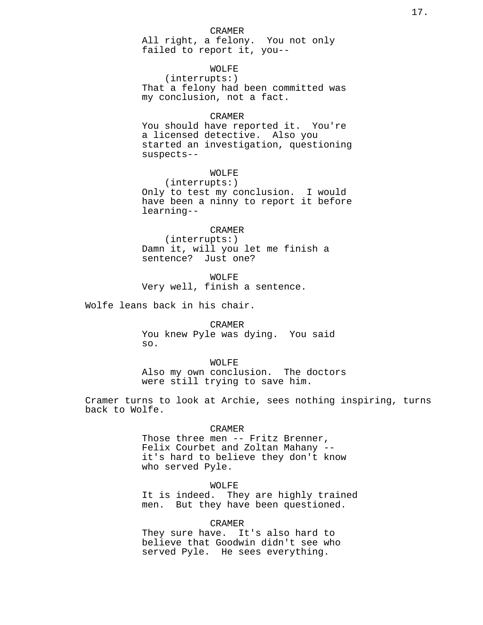#### CRAMER

All right, a felony. You not only failed to report it, you--

## WOLFE

(interrupts:) That a felony had been committed was my conclusion, not a fact.

## CRAMER

You should have reported it. You're a licensed detective. Also you started an investigation, questioning suspects--

## WOLFE

(interrupts:) Only to test my conclusion. I would have been a ninny to report it before learning--

### CRAMER

(interrupts:) Damn it, will you let me finish a sentence? Just one?

WOLFE Very well, finish a sentence.

Wolfe leans back in his chair.

CRAMER You knew Pyle was dying. You said so.

#### WOLFE

Also my own conclusion. The doctors were still trying to save him.

Cramer turns to look at Archie, sees nothing inspiring, turns back to Wolfe.

## CRAMER

Those three men -- Fritz Brenner, Felix Courbet and Zoltan Mahany - it's hard to believe they don't know who served Pyle.

WOLFE

It is indeed. They are highly trained men. But they have been questioned.

#### CRAMER

They sure have. It's also hard to believe that Goodwin didn't see who served Pyle. He sees everything.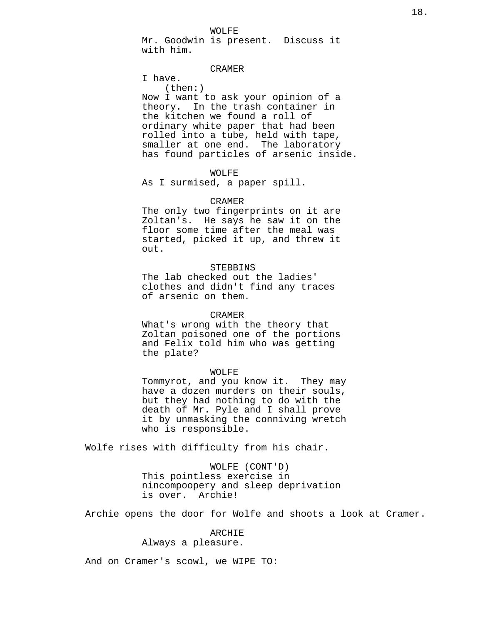WOLFE

Mr. Goodwin is present. Discuss it with him.

## CRAMER

I have. (then:) Now I want to ask your opinion of a theory. In the trash container in the kitchen we found a roll of ordinary white paper that had been rolled into a tube, held with tape, smaller at one end. The laboratory has found particles of arsenic inside.

## WOLFE

As I surmised, a paper spill.

### CRAMER

The only two fingerprints on it are Zoltan's. He says he saw it on the floor some time after the meal was started, picked it up, and threw it out.

## STEBBINS

The lab checked out the ladies' clothes and didn't find any traces of arsenic on them.

#### CRAMER

What's wrong with the theory that Zoltan poisoned one of the portions and Felix told him who was getting the plate?

## WOLFE

Tommyrot, and you know it. They may have a dozen murders on their souls, but they had nothing to do with the death of Mr. Pyle and I shall prove it by unmasking the conniving wretch who is responsible.

Wolfe rises with difficulty from his chair.

WOLFE (CONT'D) This pointless exercise in nincompoopery and sleep deprivation is over. Archie!

Archie opens the door for Wolfe and shoots a look at Cramer.

## ARCHIE

Always a pleasure.

And on Cramer's scowl, we WIPE TO: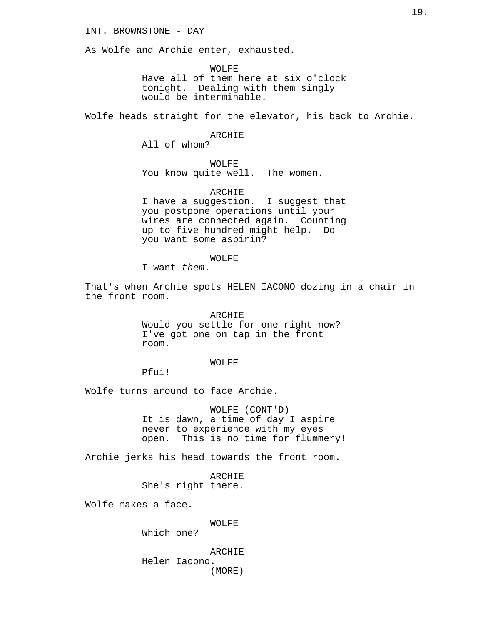## INT. BROWNSTONE - DAY

As Wolfe and Archie enter, exhausted.

WOLFE Have all of them here at six o'clock tonight. Dealing with them singly would be interminable.

Wolfe heads straight for the elevator, his back to Archie.

## ARCHIE

All of whom?

## WOLFE

You know quite well. The women.

## ARCHIE

I have a suggestion. I suggest that you postpone operations until your wires are connected again. Counting up to five hundred might help. Do you want some aspirin?

#### WOLFE

I want them.

That's when Archie spots HELEN IACONO dozing in a chair in the front room.

> ARCHIE Would you settle for one right now? I've got one on tap in the front room.

## WOLFE

Pfui!

Wolfe turns around to face Archie.

WOLFE (CONT'D) It is dawn, a time of day I aspire never to experience with my eyes open. This is no time for flummery!

Archie jerks his head towards the front room.

ARCHIE She's right there.

Wolfe makes a face.

WOLFE

Which one?

## ARCHIE Helen Iacono. (MORE)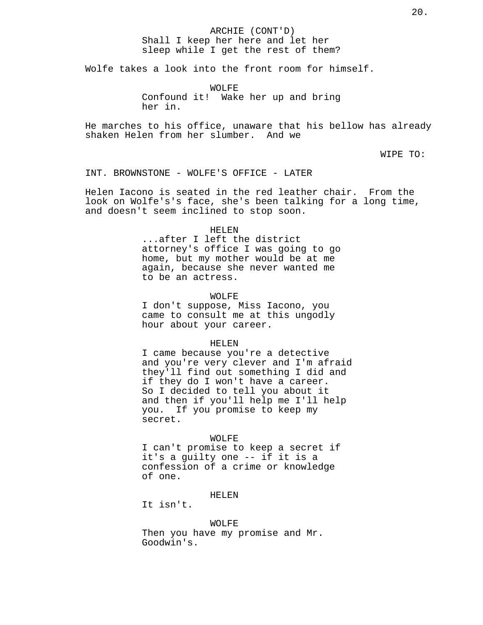## ARCHIE (CONT'D) Shall I keep her here and let her sleep while I get the rest of them?

Wolfe takes a look into the front room for himself.

WOLFE Confound it! Wake her up and bring her in.

He marches to his office, unaware that his bellow has already shaken Helen from her slumber. And we

WIPE TO:

INT. BROWNSTONE - WOLFE'S OFFICE - LATER

Helen Iacono is seated in the red leather chair. From the look on Wolfe's's face, she's been talking for a long time, and doesn't seem inclined to stop soon.

#### HELEN

...after I left the district attorney's office I was going to go home, but my mother would be at me again, because she never wanted me to be an actress.

## WOLFE

I don't suppose, Miss Iacono, you came to consult me at this ungodly hour about your career.

#### HELEN

I came because you're a detective and you're very clever and I'm afraid they'll find out something I did and if they do I won't have a career. So I decided to tell you about it and then if you'll help me I'll help you. If you promise to keep my secret.

## WOLFE

I can't promise to keep a secret if it's a guilty one -- if it is a confession of a crime or knowledge of one.

## HELEN

It isn't.

#### WOLFE

Then you have my promise and Mr. Goodwin's.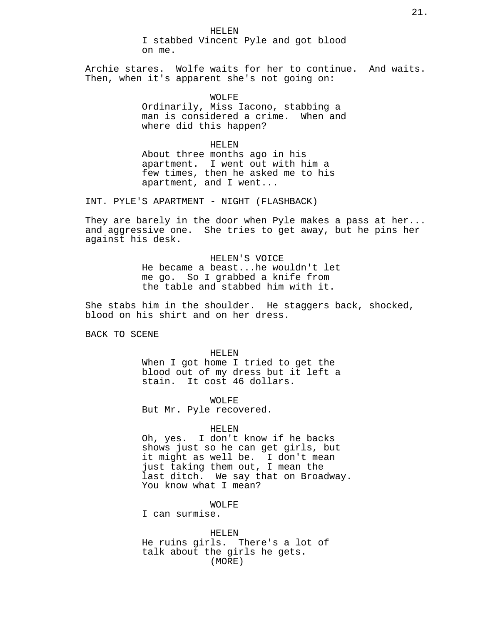HELEN I stabbed Vincent Pyle and got blood on me.

Archie stares. Wolfe waits for her to continue. And waits. Then, when it's apparent she's not going on:

> WOLFE Ordinarily, Miss Iacono, stabbing a man is considered a crime. When and where did this happen?

HELEN About three months ago in his apartment. I went out with him a few times, then he asked me to his apartment, and I went...

INT. PYLE'S APARTMENT - NIGHT (FLASHBACK)

They are barely in the door when Pyle makes a pass at her... and aggressive one. She tries to get away, but he pins her against his desk.

> HELEN'S VOICE He became a beast...he wouldn't let me go. So I grabbed a knife from the table and stabbed him with it.

She stabs him in the shoulder. He staggers back, shocked, blood on his shirt and on her dress.

BACK TO SCENE

HELEN

When I got home I tried to get the blood out of my dress but it left a stain. It cost 46 dollars.

WOLFE

But Mr. Pyle recovered.

## HELEN

Oh, yes. I don't know if he backs shows just so he can get girls, but it might as well be. I don't mean just taking them out, I mean the last ditch. We say that on Broadway. You know what I mean?

WOLFE

I can surmise.

HELEN He ruins girls. There's a lot of talk about the girls he gets. (MORE)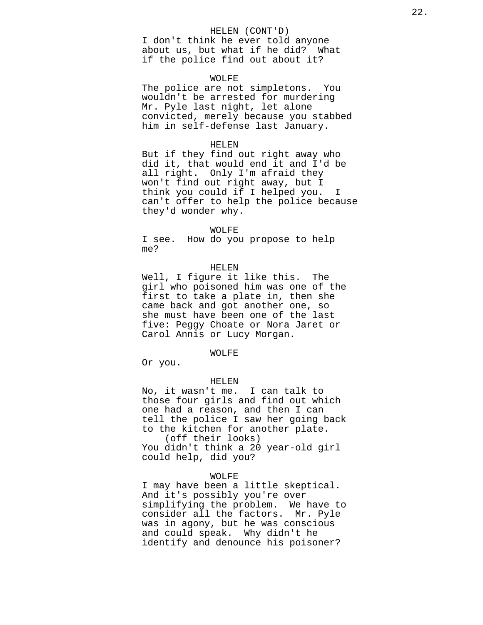### HELEN (CONT'D)

I don't think he ever told anyone about us, but what if he did? What if the police find out about it?

#### WOLFE

The police are not simpletons. You wouldn't be arrested for murdering Mr. Pyle last night, let alone convicted, merely because you stabbed him in self-defense last January.

#### HELEN

But if they find out right away who did it, that would end it and I'd be all right. Only I'm afraid they won't find out right away, but I think you could if I helped you. I can't offer to help the police because they'd wonder why.

#### WOLFE

I see. How do you propose to help me?

### HELEN

Well, I figure it like this. The girl who poisoned him was one of the first to take a plate in, then she came back and got another one, so she must have been one of the last five: Peggy Choate or Nora Jaret or Carol Annis or Lucy Morgan.

### WOLFE

Or you.

#### HELEN

No, it wasn't me. I can talk to those four girls and find out which one had a reason, and then I can tell the police I saw her going back to the kitchen for another plate. (off their looks)

You didn't think a 20 year-old girl could help, did you?

## WOLFE

I may have been a little skeptical. And it's possibly you're over simplifying the problem. We have to consider all the factors. Mr. Pyle was in agony, but he was conscious and could speak. Why didn't he identify and denounce his poisoner?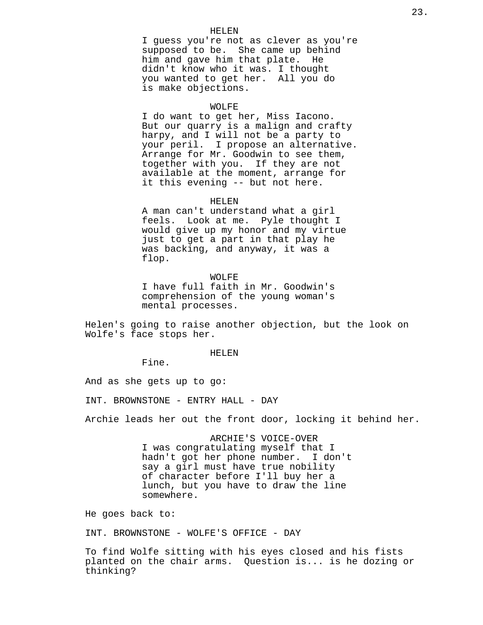### HELEN

I guess you're not as clever as you're supposed to be. She came up behind him and gave him that plate. He didn't know who it was. I thought you wanted to get her. All you do is make objections.

#### WOLFE

I do want to get her, Miss Iacono. But our quarry is a malign and crafty harpy, and I will not be a party to your peril. I propose an alternative. Arrange for Mr. Goodwin to see them, together with you. If they are not available at the moment, arrange for it this evening -- but not here.

#### HELEN

A man can't understand what a girl feels. Look at me. Pyle thought I would give up my honor and my virtue just to get a part in that play he was backing, and anyway, it was a flop.

WOLFE I have full faith in Mr. Goodwin's comprehension of the young woman's mental processes.

Helen's going to raise another objection, but the look on Wolfe's face stops her.

#### HELEN

Fine.

And as she gets up to go:

INT. BROWNSTONE - ENTRY HALL - DAY

Archie leads her out the front door, locking it behind her.

ARCHIE'S VOICE-OVER I was congratulating myself that I hadn't got her phone number. I don't say a girl must have true nobility of character before I'll buy her a lunch, but you have to draw the line somewhere.

He goes back to:

INT. BROWNSTONE - WOLFE'S OFFICE - DAY

To find Wolfe sitting with his eyes closed and his fists planted on the chair arms. Question is... is he dozing or thinking?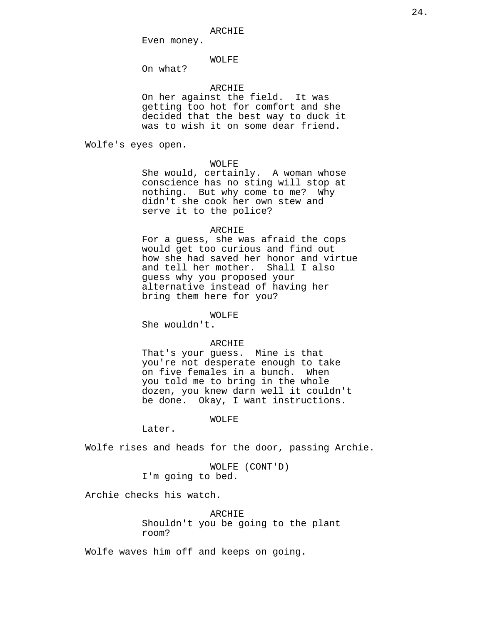#### ARCHIE

Even money.

## WOLFE

On what?

## ARCHIE

On her against the field. It was getting too hot for comfort and she decided that the best way to duck it was to wish it on some dear friend.

Wolfe's eyes open.

## WOLFE

She would, certainly. A woman whose conscience has no sting will stop at nothing. But why come to me? Why didn't she cook her own stew and serve it to the police?

#### ARCHIE

For a guess, she was afraid the cops would get too curious and find out how she had saved her honor and virtue and tell her mother. Shall I also guess why you proposed your alternative instead of having her bring them here for you?

## WOLFE

She wouldn't.

## ARCHIE

That's your guess. Mine is that you're not desperate enough to take on five females in a bunch. When you told me to bring in the whole dozen, you knew darn well it couldn't be done. Okay, I want instructions.

## WOLFE

Later.

Wolfe rises and heads for the door, passing Archie.

WOLFE (CONT'D) I'm going to bed.

Archie checks his watch.

ARCHIE Shouldn't you be going to the plant room?

Wolfe waves him off and keeps on going.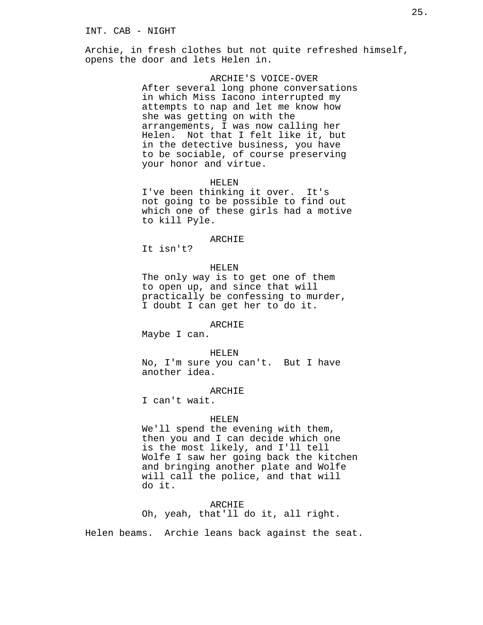Archie, in fresh clothes but not quite refreshed himself, opens the door and lets Helen in.

> ARCHIE'S VOICE-OVER After several long phone conversations in which Miss Iacono interrupted my attempts to nap and let me know how she was getting on with the arrangements, I was now calling her Helen. Not that I felt like it, but in the detective business, you have to be sociable, of course preserving your honor and virtue.

> > HELEN

I've been thinking it over. It's not going to be possible to find out which one of these girls had a motive to kill Pyle.

## ARCHIE

It isn't?

## HELEN

The only way is to get one of them to open up, and since that will practically be confessing to murder, I doubt I can get her to do it.

## ARCHIE

Maybe I can.

#### HELEN

No, I'm sure you can't. But I have another idea.

## ARCHIE

I can't wait.

#### HELEN

We'll spend the evening with them, then you and I can decide which one is the most likely, and I'll tell Wolfe I saw her going back the kitchen and bringing another plate and Wolfe will call the police, and that will do it.

ARCHIE Oh, yeah, that'll do it, all right.

Helen beams. Archie leans back against the seat.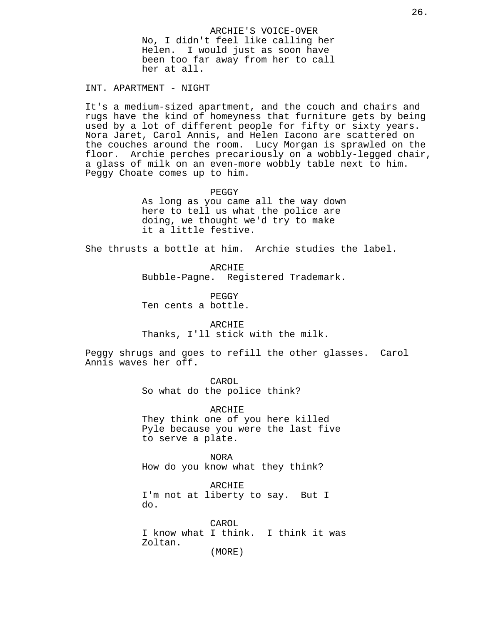ARCHIE'S VOICE-OVER No, I didn't feel like calling her Helen. I would just as soon have been too far away from her to call her at all.

INT. APARTMENT - NIGHT

It's a medium-sized apartment, and the couch and chairs and rugs have the kind of homeyness that furniture gets by being used by a lot of different people for fifty or sixty years. Nora Jaret, Carol Annis, and Helen Iacono are scattered on the couches around the room. Lucy Morgan is sprawled on the floor. Archie perches precariously on a wobbly-legged chair, a glass of milk on an even-more wobbly table next to him. Peggy Choate comes up to him.

PEGGY

As long as you came all the way down here to tell us what the police are doing, we thought we'd try to make it a little festive.

She thrusts a bottle at him. Archie studies the label.

ARCHIE Bubble-Pagne. Registered Trademark.

PEGGY Ten cents a bottle.

ARCHIE Thanks, I'll stick with the milk.

Peggy shrugs and goes to refill the other glasses. Carol Annis waves her off.

> CAROL So what do the police think?

ARCHIE They think one of you here killed Pyle because you were the last five to serve a plate.

NORA How do you know what they think?

ARCHIE I'm not at liberty to say. But I do.

CAROL I know what I think. I think it was Zoltan. (MORE)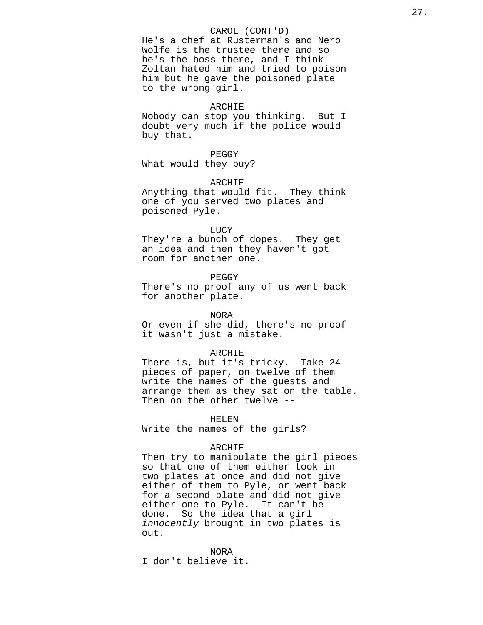### CAROL (CONT'D)

He's a chef at Rusterman's and Nero Wolfe is the trustee there and so he's the boss there, and I think Zoltan hated him and tried to poison him but he gave the poisoned plate to the wrong girl.

#### ARCHIE

Nobody can stop you thinking. But I doubt very much if the police would buy that.

## PEGGY

What would they buy?

## ARCHIE

Anything that would fit. They think one of you served two plates and poisoned Pyle.

#### LUCY

They're a bunch of dopes. They get an idea and then they haven't got room for another one.

## PEGGY

There's no proof any of us went back for another plate.

### NORA

Or even if she did, there's no proof it wasn't just a mistake.

### ARCHIE

There is, but it's tricky. Take 24 pieces of paper, on twelve of them write the names of the guests and arrange them as they sat on the table. Then on the other twelve --

#### HELEN

Write the names of the girls?

## ARCHIE

Then try to manipulate the girl pieces so that one of them either took in two plates at once and did not give either of them to Pyle, or went back for a second plate and did not give either one to Pyle. It can't be done. So the idea that a girl innocently brought in two plates is out.

NORA I don't believe it.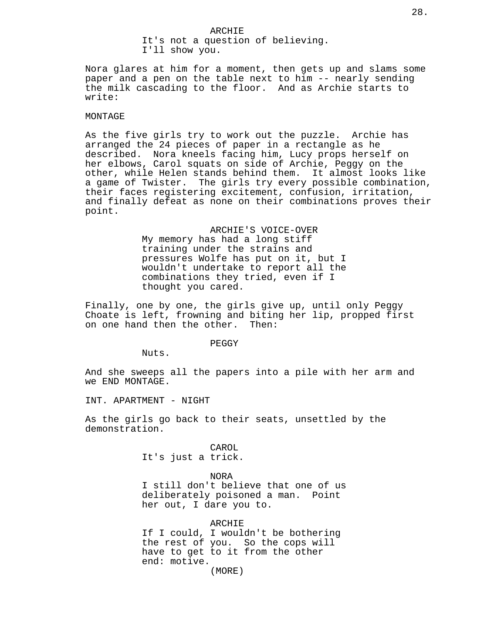ARCHIE It's not a question of believing. I'll show you.

Nora glares at him for a moment, then gets up and slams some paper and a pen on the table next to him -- nearly sending the milk cascading to the floor. And as Archie starts to write:

### MONTAGE

As the five girls try to work out the puzzle. Archie has arranged the 24 pieces of paper in a rectangle as he described. Nora kneels facing him, Lucy props herself on her elbows, Carol squats on side of Archie, Peggy on the other, while Helen stands behind them. It almost looks like a game of Twister. The girls try every possible combination, their faces registering excitement, confusion, irritation, and finally defeat as none on their combinations proves their point.

> ARCHIE'S VOICE-OVER My memory has had a long stiff training under the strains and pressures Wolfe has put on it, but I wouldn't undertake to report all the combinations they tried, even if I thought you cared.

Finally, one by one, the girls give up, until only Peggy Choate is left, frowning and biting her lip, propped first on one hand then the other. Then:

PEGGY

Nuts.

And she sweeps all the papers into a pile with her arm and we END MONTAGE.

INT. APARTMENT - NIGHT

As the girls go back to their seats, unsettled by the demonstration.

> CAROL It's just a trick.

> > NORA

I still don't believe that one of us deliberately poisoned a man. Point her out, I dare you to.

ARCHIE If I could, I wouldn't be bothering the rest of you. So the cops will have to get to it from the other end: motive. (MORE)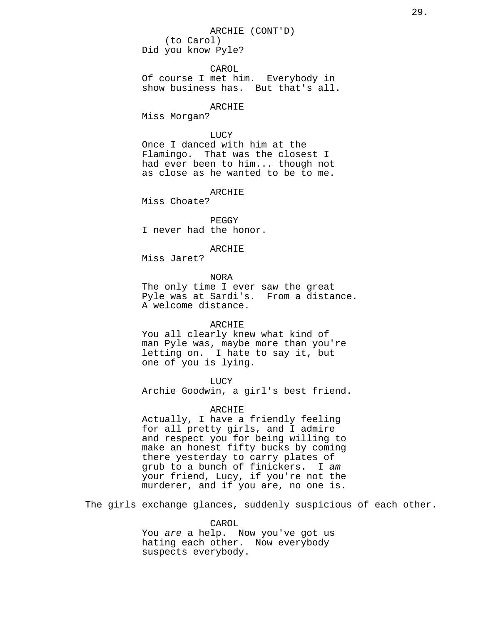# ARCHIE (CONT'D) (to Carol)

Did you know Pyle?

CAROL

Of course I met him. Everybody in show business has. But that's all.

## ARCHIE

Miss Morgan?

## LUCY

Once I danced with him at the Flamingo. That was the closest I had ever been to him... though not as close as he wanted to be to me.

## ARCHIE

Miss Choate?

PEGGY I never had the honor.

## ARCHIE

Miss Jaret?

## NORA

The only time I ever saw the great Pyle was at Sardi's. From a distance. A welcome distance.

## ARCHIE

You all clearly knew what kind of man Pyle was, maybe more than you're letting on. I hate to say it, but one of you is lying.

## LUCY

Archie Goodwin, a girl's best friend.

## ARCHIE

Actually, I have a friendly feeling for all pretty girls, and I admire and respect you for being willing to make an honest fifty bucks by coming there yesterday to carry plates of grub to a bunch of finickers. I am your friend, Lucy, if you're not the murderer, and if you are, no one is.

The girls exchange glances, suddenly suspicious of each other.

CAROL You are a help. Now you've got us hating each other. Now everybody suspects everybody.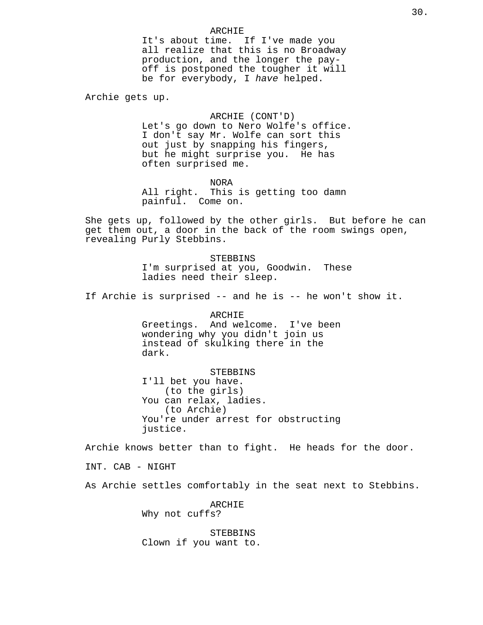ARCHIE It's about time. If I've made you all realize that this is no Broadway production, and the longer the payoff is postponed the tougher it will be for everybody, I have helped.

Archie gets up.

ARCHIE (CONT'D) Let's go down to Nero Wolfe's office. I don't say Mr. Wolfe can sort this out just by snapping his fingers, but he might surprise you. He has often surprised me.

NORA All right. This is getting too damn painful. Come on.

She gets up, followed by the other girls. But before he can get them out, a door in the back of the room swings open, revealing Purly Stebbins.

> STEBBINS I'm surprised at you, Goodwin. These ladies need their sleep.

If Archie is surprised -- and he is -- he won't show it.

ARCHIE Greetings. And welcome. I've been wondering why you didn't join us instead of skulking there in the dark.

STEBBINS

I'll bet you have. (to the girls) You can relax, ladies. (to Archie) You're under arrest for obstructing justice.

Archie knows better than to fight. He heads for the door.

INT. CAB - NIGHT

As Archie settles comfortably in the seat next to Stebbins.

ARCHIE Why not cuffs?

STEBBINS Clown if you want to.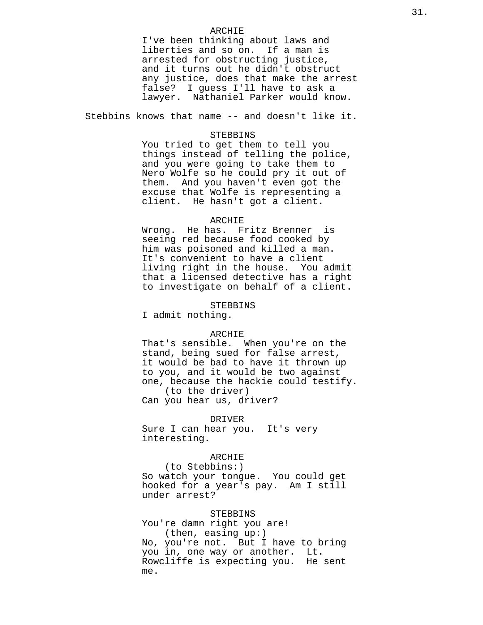### ARCHIE

I've been thinking about laws and liberties and so on. If a man is arrested for obstructing justice, and it turns out he didn't obstruct any justice, does that make the arrest false? I guess I'll have to ask a lawyer. Nathaniel Parker would know.

Stebbins knows that name -- and doesn't like it.

## STEBBINS

You tried to get them to tell you things instead of telling the police, and you were going to take them to Nero Wolfe so he could pry it out of them. And you haven't even got the excuse that Wolfe is representing a client. He hasn't got a client.

## ARCHIE

Wrong. He has. Fritz Brenner is seeing red because food cooked by him was poisoned and killed a man. It's convenient to have a client living right in the house. You admit that a licensed detective has a right to investigate on behalf of a client.

### STEBBINS

I admit nothing.

### ARCHIE

That's sensible. When you're on the stand, being sued for false arrest, it would be bad to have it thrown up to you, and it would be two against one, because the hackie could testify. (to the driver)

Can you hear us, driver?

### DRIVER

Sure I can hear you. It's very interesting.

## ARCHIE

(to Stebbins:) So watch your tongue. You could get hooked for a year's pay. Am I still under arrest?

### STEBBINS

You're damn right you are! (then, easing up:) No, you're not. But I have to bring you in, one way or another. Lt. Rowcliffe is expecting you. He sent me.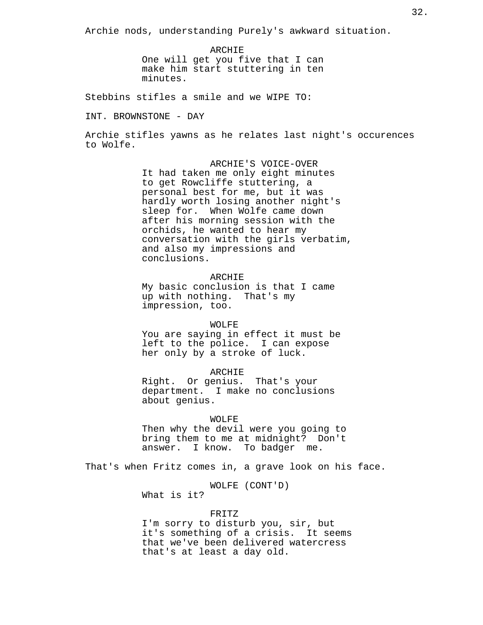Archie nods, understanding Purely's awkward situation.

ARCHIE One will get you five that I can make him start stuttering in ten minutes.

Stebbins stifles a smile and we WIPE TO:

INT. BROWNSTONE - DAY

Archie stifles yawns as he relates last night's occurences to Wolfe.

> ARCHIE'S VOICE-OVER It had taken me only eight minutes to get Rowcliffe stuttering, a personal best for me, but it was hardly worth losing another night's sleep for. When Wolfe came down after his morning session with the orchids, he wanted to hear my conversation with the girls verbatim, and also my impressions and conclusions.

## ARCHIE

My basic conclusion is that I came up with nothing. That's my impression, too.

## WOLFE

You are saying in effect it must be left to the police. I can expose her only by a stroke of luck.

ARCHIE

Right. Or genius. That's your department. I make no conclusions about genius.

### WOLFE

Then why the devil were you going to bring them to me at midnight? Don't answer. I know. To badger me.

That's when Fritz comes in, a grave look on his face.

WOLFE (CONT'D)

What is it?

#### FRITZ

I'm sorry to disturb you, sir, but it's something of a crisis. It seems that we've been delivered watercress that's at least a day old.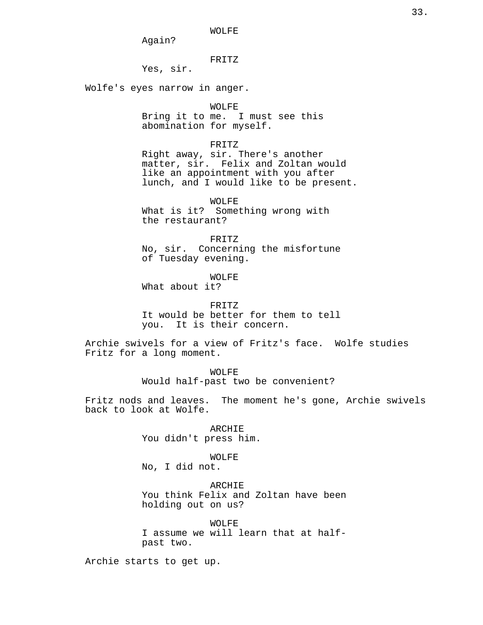WOLFE

Again?

FRITZ

Yes, sir.

Wolfe's eyes narrow in anger.

#### WOLFE

Bring it to me. I must see this abomination for myself.

#### FRITZ

Right away, sir. There's another matter, sir. Felix and Zoltan would like an appointment with you after lunch, and I would like to be present.

WOLFE

What is it? Something wrong with the restaurant?

FRITZ

No, sir. Concerning the misfortune of Tuesday evening.

WOLFE

What about it?

FRITZ It would be better for them to tell you. It is their concern.

Archie swivels for a view of Fritz's face. Wolfe studies Fritz for a long moment.

> WOLFE Would half-past two be convenient?

Fritz nods and leaves. The moment he's gone, Archie swivels back to look at Wolfe.

> ARCHIE You didn't press him.

> > WOLFE

No, I did not.

ARCHIE You think Felix and Zoltan have been holding out on us?

WOLFE I assume we will learn that at halfpast two.

Archie starts to get up.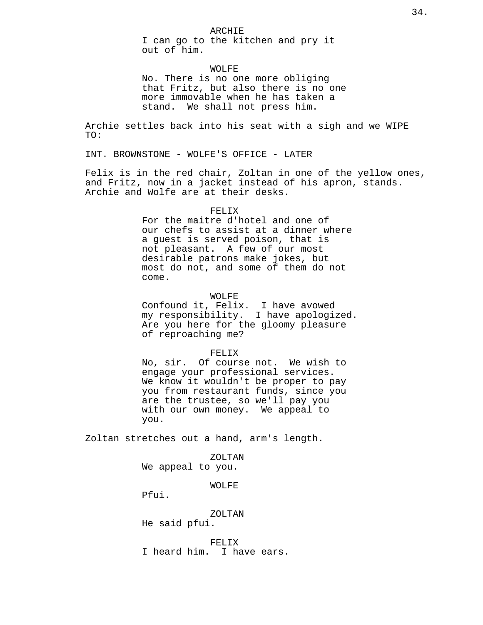I can go to the kitchen and pry it out of him.

## WOLFE

No. There is no one more obliging that Fritz, but also there is no one more immovable when he has taken a stand. We shall not press him.

Archie settles back into his seat with a sigh and we WIPE TO:

INT. BROWNSTONE - WOLFE'S OFFICE - LATER

Felix is in the red chair, Zoltan in one of the yellow ones, and Fritz, now in a jacket instead of his apron, stands. Archie and Wolfe are at their desks.

### FELIX

For the maitre d'hotel and one of our chefs to assist at a dinner where a guest is served poison, that is not pleasant. A few of our most desirable patrons make jokes, but most do not, and some of them do not come.

## WOLFE

Confound it, Felix. I have avowed my responsibility. I have apologized. Are you here for the gloomy pleasure of reproaching me?

#### FELIX

No, sir. Of course not. We wish to engage your professional services. We know it wouldn't be proper to pay you from restaurant funds, since you are the trustee, so we'll pay you with our own money. We appeal to you.

Zoltan stretches out a hand, arm's length.

ZOLTAN

We appeal to you.

WOLFE

Pfui.

ZOLTAN He said pfui.

FELIX I heard him. I have ears.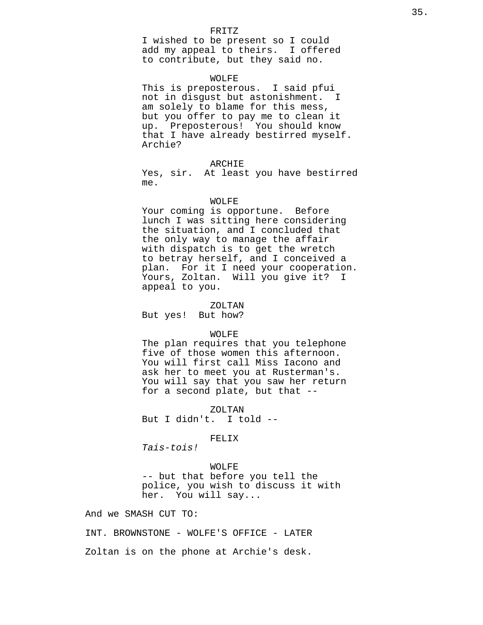### FRITZ

I wished to be present so I could add my appeal to theirs. I offered to contribute, but they said no.

#### WOLFE

This is preposterous. I said pfui not in disgust but astonishment. I am solely to blame for this mess, but you offer to pay me to clean it up. Preposterous! You should know that I have already bestirred myself. Archie?

#### ARCHIE

Yes, sir. At least you have bestirred me.

#### WOLFE

Your coming is opportune. Before lunch I was sitting here considering the situation, and I concluded that the only way to manage the affair with dispatch is to get the wretch to betray herself, and I conceived a plan. For it I need your cooperation. Yours, Zoltan. Will you give it? I appeal to you.

### ZOLTAN

But yes! But how?

### WOLFE

The plan requires that you telephone five of those women this afternoon. You will first call Miss Iacono and ask her to meet you at Rusterman's. You will say that you saw her return for a second plate, but that --

ZOLTAN But I didn't. I told --

### FELIX

Tais-tois!

#### WOLFE

-- but that before you tell the police, you wish to discuss it with her. You will say...

And we SMASH CUT TO:

INT. BROWNSTONE - WOLFE'S OFFICE - LATER Zoltan is on the phone at Archie's desk.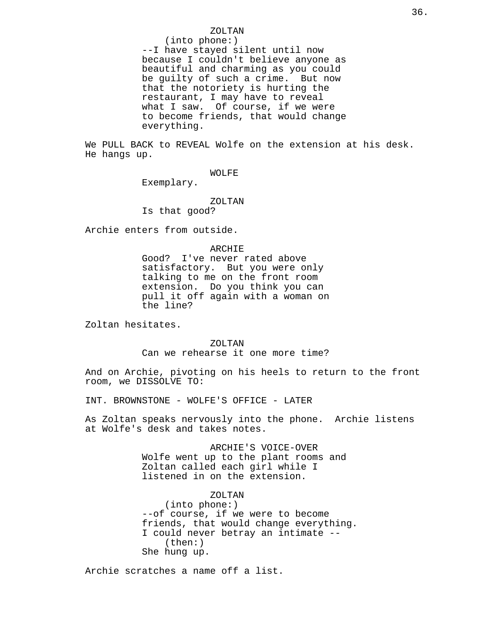## ZOLTAN

(into phone:) --I have stayed silent until now because I couldn't believe anyone as beautiful and charming as you could be guilty of such a crime. But now that the notoriety is hurting the restaurant, I may have to reveal what I saw. Of course, if we were to become friends, that would change everything.

We PULL BACK to REVEAL Wolfe on the extension at his desk. He hangs up.

## WOLFE

Exemplary.

#### ZOLTAN

Is that good?

Archie enters from outside.

## ARCHIE

Good? I've never rated above satisfactory. But you were only talking to me on the front room extension. Do you think you can pull it off again with a woman on the line?

Zoltan hesitates.

## ZOLTAN

Can we rehearse it one more time?

And on Archie, pivoting on his heels to return to the front room, we DISSOLVE TO:

INT. BROWNSTONE - WOLFE'S OFFICE - LATER

As Zoltan speaks nervously into the phone. Archie listens at Wolfe's desk and takes notes.

> ARCHIE'S VOICE-OVER Wolfe went up to the plant rooms and Zoltan called each girl while I listened in on the extension.

## ZOLTAN

(into phone:) --of course, if we were to become friends, that would change everything. I could never betray an intimate -- (then:) She hung up.

Archie scratches a name off a list.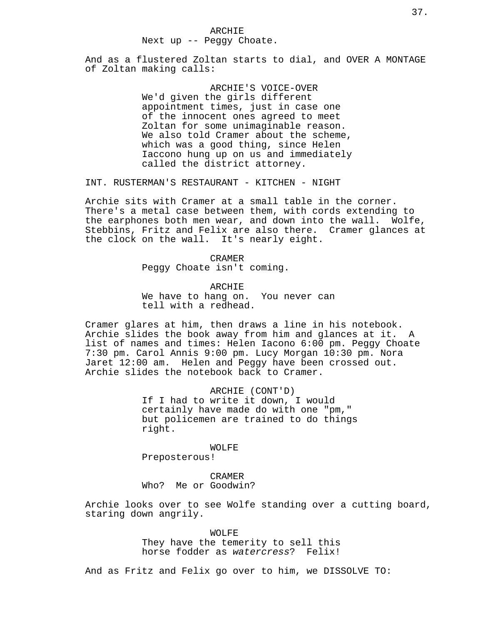ARCHIE Next up -- Peggy Choate.

And as a flustered Zoltan starts to dial, and OVER A MONTAGE of Zoltan making calls:

> ARCHIE'S VOICE-OVER We'd given the girls different appointment times, just in case one of the innocent ones agreed to meet Zoltan for some unimaginable reason. We also told Cramer about the scheme, which was a good thing, since Helen Iaccono hung up on us and immediately called the district attorney.

INT. RUSTERMAN'S RESTAURANT - KITCHEN - NIGHT

Archie sits with Cramer at a small table in the corner. There's a metal case between them, with cords extending to the earphones both men wear, and down into the wall. Wolfe, Stebbins, Fritz and Felix are also there. Cramer glances at the clock on the wall. It's nearly eight.

> CRAMER Peggy Choate isn't coming.

ARCHIE We have to hang on. You never can tell with a redhead.

Cramer glares at him, then draws a line in his notebook. Archie slides the book away from him and glances at it. A list of names and times: Helen Iacono 6:00 pm. Peggy Choate 7:30 pm. Carol Annis 9:00 pm. Lucy Morgan 10:30 pm. Nora Jaret 12:00 am. Helen and Peggy have been crossed out. Archie slides the notebook back to Cramer.

> ARCHIE (CONT'D) If I had to write it down, I would certainly have made do with one "pm," but policemen are trained to do things right.

WOLFE Preposterous!

CRAMER Who? Me or Goodwin?

Archie looks over to see Wolfe standing over a cutting board, staring down angrily.

> WOLFE They have the temerity to sell this horse fodder as watercress? Felix!

And as Fritz and Felix go over to him, we DISSOLVE TO: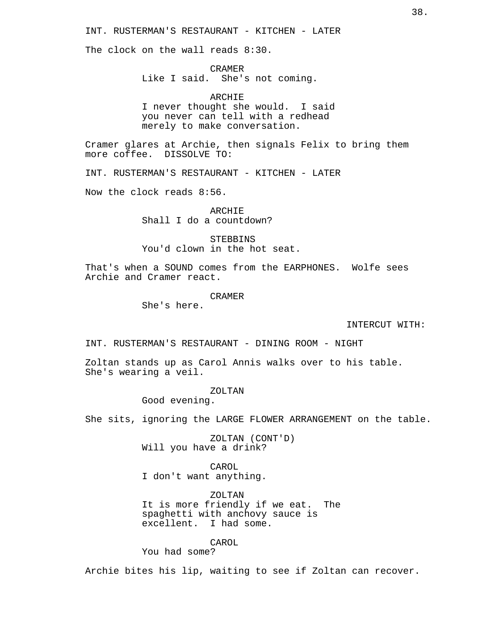INT. RUSTERMAN'S RESTAURANT - KITCHEN - LATER

The clock on the wall reads 8:30.

CRAMER Like I said. She's not coming.

ARCHIE I never thought she would. I said you never can tell with a redhead merely to make conversation.

Cramer glares at Archie, then signals Felix to bring them more coffee. DISSOLVE TO:

INT. RUSTERMAN'S RESTAURANT - KITCHEN - LATER

Now the clock reads 8:56.

ARCHIE Shall I do a countdown?

STEBBINS You'd clown in the hot seat.

That's when a SOUND comes from the EARPHONES. Wolfe sees Archie and Cramer react.

CRAMER

She's here.

INTERCUT WITH:

INT. RUSTERMAN'S RESTAURANT - DINING ROOM - NIGHT

Zoltan stands up as Carol Annis walks over to his table. She's wearing a veil.

## ZOLTAN

Good evening.

She sits, ignoring the LARGE FLOWER ARRANGEMENT on the table.

ZOLTAN (CONT'D) Will you have a drink?

CAROL I don't want anything.

ZOLTAN It is more friendly if we eat. The spaghetti with anchovy sauce is excellent. I had some.

CAROL

You had some?

Archie bites his lip, waiting to see if Zoltan can recover.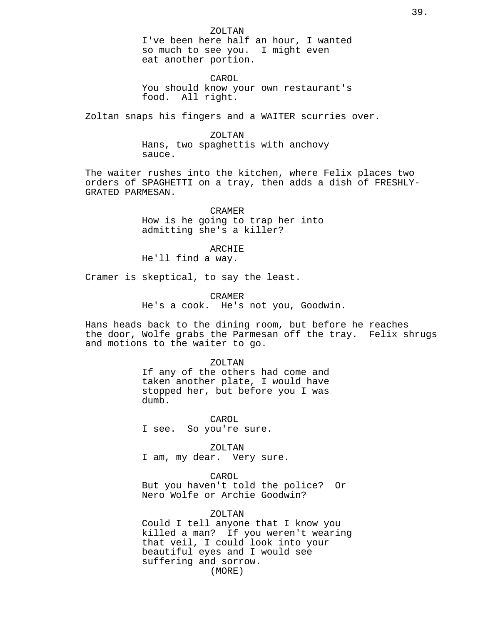ZOLTAN I've been here half an hour, I wanted so much to see you. I might even eat another portion.

CAROL You should know your own restaurant's food. All right.

Zoltan snaps his fingers and a WAITER scurries over.

# ZOLTAN

Hans, two spaghettis with anchovy sauce.

The waiter rushes into the kitchen, where Felix places two orders of SPAGHETTI on a tray, then adds a dish of FRESHLY-GRATED PARMESAN.

> CRAMER How is he going to trap her into admitting she's a killer?

> > ARCHIE

He'll find a way.

Cramer is skeptical, to say the least.

CRAMER

He's a cook. He's not you, Goodwin.

Hans heads back to the dining room, but before he reaches the door, Wolfe grabs the Parmesan off the tray. Felix shrugs and motions to the waiter to go.

#### ZOLTAN

If any of the others had come and taken another plate, I would have stopped her, but before you I was dumb.

CAROL I see. So you're sure.

ZOLTAN

I am, my dear. Very sure.

# CAROL

But you haven't told the police? Or Nero Wolfe or Archie Goodwin?

# ZOLTAN

Could I tell anyone that I know you killed a man? If you weren't wearing that veil, I could look into your beautiful eyes and I would see suffering and sorrow. (MORE)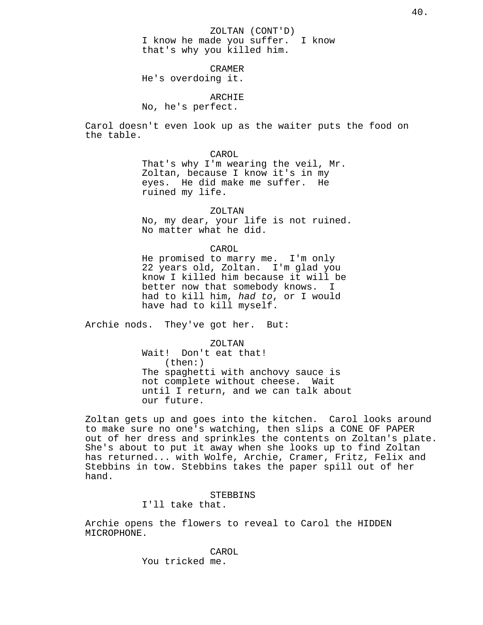ZOLTAN (CONT'D) I know he made you suffer. I know that's why you killed him.

CRAMER

He's overdoing it.

ARCHIE

No, he's perfect.

Carol doesn't even look up as the waiter puts the food on the table.

> CAROL That's why I'm wearing the veil, Mr. Zoltan, because I know it's in my eyes. He did make me suffer. He ruined my life.

ZOLTAN No, my dear, your life is not ruined. No matter what he did.

CAROL He promised to marry me. I'm only 22 years old, Zoltan. I'm glad you know I killed him because it will be better now that somebody knows. I had to kill him, had to, or I would have had to kill myself.

Archie nods. They've got her. But:

ZOLTAN Wait! Don't eat that! (then:) The spaghetti with anchovy sauce is not complete without cheese. Wait until I return, and we can talk about our future.

Zoltan gets up and goes into the kitchen. Carol looks around to make sure no one's watching, then slips a CONE OF PAPER out of her dress and sprinkles the contents on Zoltan's plate. She's about to put it away when she looks up to find Zoltan has returned... with Wolfe, Archie, Cramer, Fritz, Felix and Stebbins in tow. Stebbins takes the paper spill out of her hand.

> STEBBINS I'll take that.

Archie opens the flowers to reveal to Carol the HIDDEN MICROPHONE.

> CAROL You tricked me.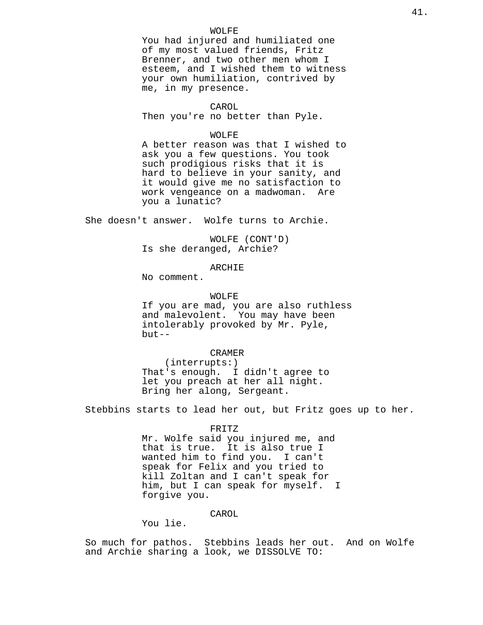## WOLFE

You had injured and humiliated one of my most valued friends, Fritz Brenner, and two other men whom I esteem, and I wished them to witness your own humiliation, contrived by me, in my presence.

#### CAROL

Then you're no better than Pyle.

# WOLFE

A better reason was that I wished to ask you a few questions. You took such prodigious risks that it is hard to believe in your sanity, and it would give me no satisfaction to work vengeance on a madwoman. Are you a lunatic?

She doesn't answer. Wolfe turns to Archie.

WOLFE (CONT'D) Is she deranged, Archie?

# ARCHIE

No comment.

# WOLFE

If you are mad, you are also ruthless and malevolent. You may have been intolerably provoked by Mr. Pyle, but--

#### CRAMER

(interrupts:) That's enough. I didn't agree to let you preach at her all night. Bring her along, Sergeant.

Stebbins starts to lead her out, but Fritz goes up to her.

#### FRITZ

Mr. Wolfe said you injured me, and that is true. It is also true I wanted him to find you. I can't speak for Felix and you tried to kill Zoltan and I can't speak for him, but I can speak for myself. I forgive you.

# CAROL

You lie.

So much for pathos. Stebbins leads her out. And on Wolfe and Archie sharing a look, we DISSOLVE TO: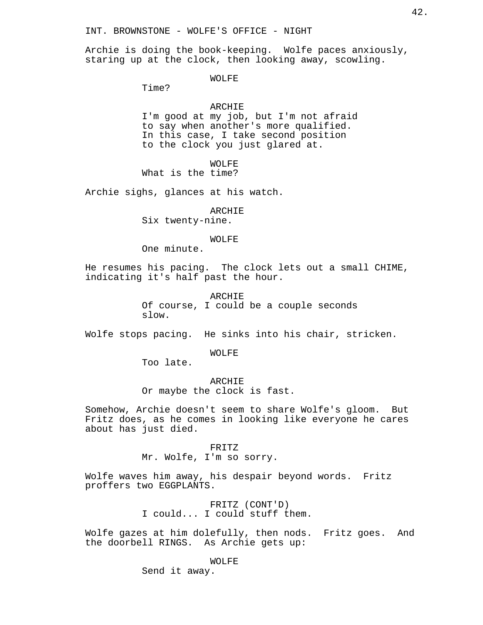INT. BROWNSTONE - WOLFE'S OFFICE - NIGHT

Archie is doing the book-keeping. Wolfe paces anxiously, staring up at the clock, then looking away, scowling.

WOLFE

Time?

# ARCHIE

I'm good at my job, but I'm not afraid to say when another's more qualified. In this case, I take second position to the clock you just glared at.

WOLFE

What is the time?

Archie sighs, glances at his watch.

ARCHIE Six twenty-nine.

# WOLFE

One minute.

He resumes his pacing. The clock lets out a small CHIME, indicating it's half past the hour.

> ARCHIE Of course, I could be a couple seconds slow.

Wolfe stops pacing. He sinks into his chair, stricken.

WOLFE

Too late.

ARCHIE Or maybe the clock is fast.

Somehow, Archie doesn't seem to share Wolfe's gloom. But Fritz does, as he comes in looking like everyone he cares about has just died.

> FRITZ Mr. Wolfe, I'm so sorry.

Wolfe waves him away, his despair beyond words. Fritz

proffers two EGGPLANTS.

FRITZ (CONT'D) I could... I could stuff them.

Wolfe gazes at him dolefully, then nods. Fritz goes. And the doorbell RINGS. As Archie gets up:

WOLFE

Send it away.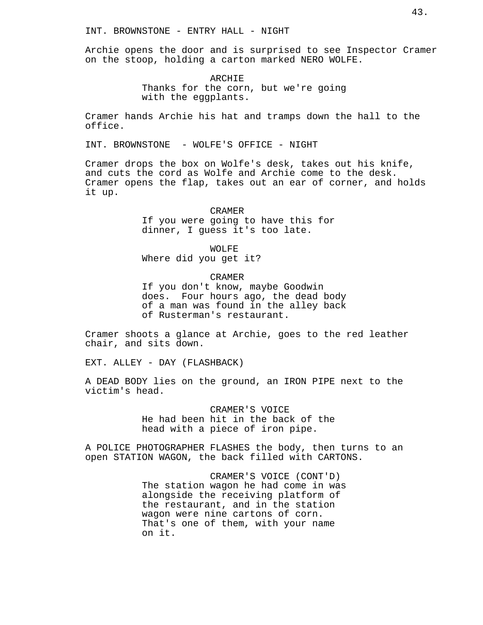Archie opens the door and is surprised to see Inspector Cramer on the stoop, holding a carton marked NERO WOLFE.

> ARCHIE Thanks for the corn, but we're going with the eggplants.

Cramer hands Archie his hat and tramps down the hall to the office.

INT. BROWNSTONE - WOLFE'S OFFICE - NIGHT

Cramer drops the box on Wolfe's desk, takes out his knife, and cuts the cord as Wolfe and Archie come to the desk. Cramer opens the flap, takes out an ear of corner, and holds it up.

> CRAMER If you were going to have this for dinner, I guess it's too late.

WOLFE Where did you get it?

of Rusterman's restaurant.

CRAMER If you don't know, maybe Goodwin does. Four hours ago, the dead body of a man was found in the alley back

Cramer shoots a glance at Archie, goes to the red leather chair, and sits down.

EXT. ALLEY - DAY (FLASHBACK)

A DEAD BODY lies on the ground, an IRON PIPE next to the victim's head.

> CRAMER'S VOICE He had been hit in the back of the head with a piece of iron pipe.

A POLICE PHOTOGRAPHER FLASHES the body, then turns to an open STATION WAGON, the back filled with CARTONS.

> CRAMER'S VOICE (CONT'D) The station wagon he had come in was alongside the receiving platform of the restaurant, and in the station wagon were nine cartons of corn. That's one of them, with your name on it.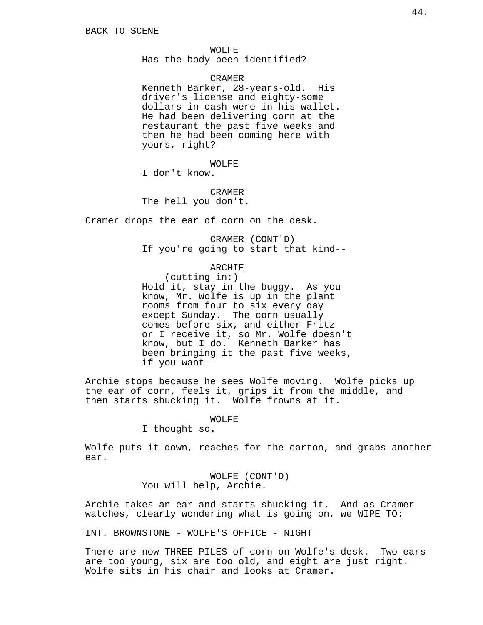WOLFE

Has the body been identified?

## CRAMER

Kenneth Barker, 28-years-old. His driver's license and eighty-some dollars in cash were in his wallet. He had been delivering corn at the restaurant the past five weeks and then he had been coming here with yours, right?

WOLFE

I don't know.

CRAMER

The hell you don't.

Cramer drops the ear of corn on the desk.

CRAMER (CONT'D) If you're going to start that kind--

ARCHIE

(cutting in:) Hold it, stay in the buggy. As you know, Mr. Wolfe is up in the plant rooms from four to six every day except Sunday. The corn usually comes before six, and either Fritz or I receive it, so Mr. Wolfe doesn't know, but I do. Kenneth Barker has been bringing it the past five weeks, if you want--

Archie stops because he sees Wolfe moving. Wolfe picks up the ear of corn, feels it, grips it from the middle, and then starts shucking it. Wolfe frowns at it.

# WOLFE

I thought so.

Wolfe puts it down, reaches for the carton, and grabs another ear.

> WOLFE (CONT'D) You will help, Archie.

Archie takes an ear and starts shucking it. And as Cramer watches, clearly wondering what is going on, we WIPE TO:

INT. BROWNSTONE - WOLFE'S OFFICE - NIGHT

There are now THREE PILES of corn on Wolfe's desk. Two ears are too young, six are too old, and eight are just right. Wolfe sits in his chair and looks at Cramer.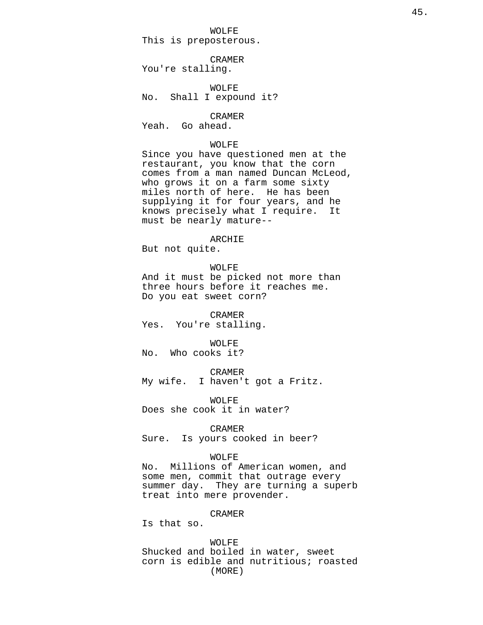WOLFE This is preposterous.

CRAMER You're stalling.

WOLFE No. Shall I expound it?

CRAMER Yeah. Go ahead.

## WOLFE

Since you have questioned men at the restaurant, you know that the corn comes from a man named Duncan McLeod, who grows it on a farm some sixty miles north of here. He has been supplying it for four years, and he knows precisely what I require. It must be nearly mature--

# ARCHIE

But not quite.

# WOLFE

And it must be picked not more than three hours before it reaches me. Do you eat sweet corn?

CRAMER Yes. You're stalling.

## WOLFE

No. Who cooks it?

CRAMER

My wife. I haven't got a Fritz.

WOLFE

Does she cook it in water?

### CRAMER

Sure. Is yours cooked in beer?

#### WOLFE

No. Millions of American women, and some men, commit that outrage every summer day. They are turning a superb treat into mere provender.

# CRAMER

Is that so.

# WOLFE

Shucked and boiled in water, sweet corn is edible and nutritious; roasted (MORE)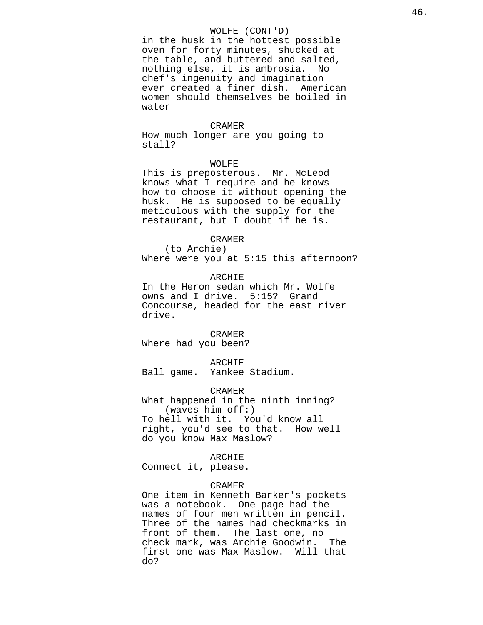# WOLFE (CONT'D)

in the husk in the hottest possible oven for forty minutes, shucked at the table, and buttered and salted, nothing else, it is ambrosia. No chef's ingenuity and imagination ever created a finer dish. American women should themselves be boiled in water--

### CRAMER

How much longer are you going to stall?

# WOLFE

This is preposterous. Mr. McLeod knows what I require and he knows how to choose it without opening the husk. He is supposed to be equally meticulous with the supply for the restaurant, but I doubt if he is.

# CRAMER

(to Archie) Where were you at 5:15 this afternoon?

# ARCHIE

In the Heron sedan which Mr. Wolfe owns and I drive. 5:15? Grand Concourse, headed for the east river drive.

CRAMER Where had you been?

#### ARCHIE

Ball game. Yankee Stadium.

### CRAMER

What happened in the ninth inning? (waves him off:) To hell with it. You'd know all right, you'd see to that. How well do you know Max Maslow?

## ARCHIE

Connect it, please.

# CRAMER

One item in Kenneth Barker's pockets was a notebook. One page had the names of four men written in pencil. Three of the names had checkmarks in front of them. The last one, no check mark, was Archie Goodwin. The first one was Max Maslow. Will that do?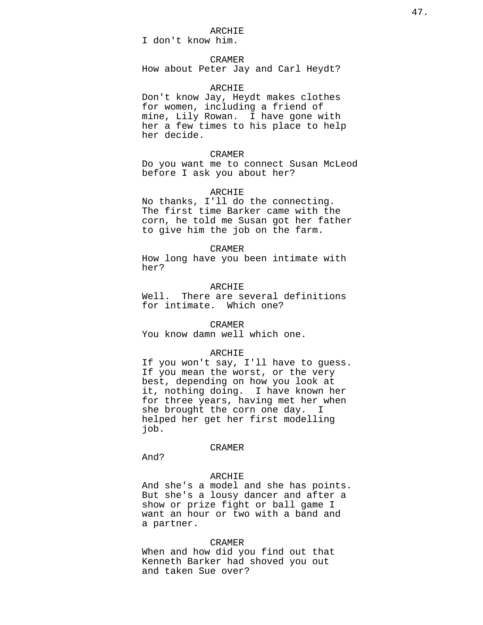# ARCHIE

I don't know him.

# CRAMER

How about Peter Jay and Carl Heydt?

# ARCHIE

Don't know Jay, Heydt makes clothes for women, including a friend of mine, Lily Rowan. I have gone with her a few times to his place to help her decide.

## CRAMER

Do you want me to connect Susan McLeod before I ask you about her?

### ARCHIE

No thanks, I'll do the connecting. The first time Barker came with the corn, he told me Susan got her father to give him the job on the farm.

#### CRAMER

How long have you been intimate with her?

# ARCHIE

Well. There are several definitions for intimate. Which one?

## CRAMER

You know damn well which one.

### ARCHIE

If you won't say, I'll have to guess. If you mean the worst, or the very best, depending on how you look at it, nothing doing. I have known her for three years, having met her when she brought the corn one day. I helped her get her first modelling job.

### CRAMER

And?

# ARCHIE

And she's a model and she has points. But she's a lousy dancer and after a show or prize fight or ball game I want an hour or two with a band and a partner.

#### CRAMER

When and how did you find out that Kenneth Barker had shoved you out and taken Sue over?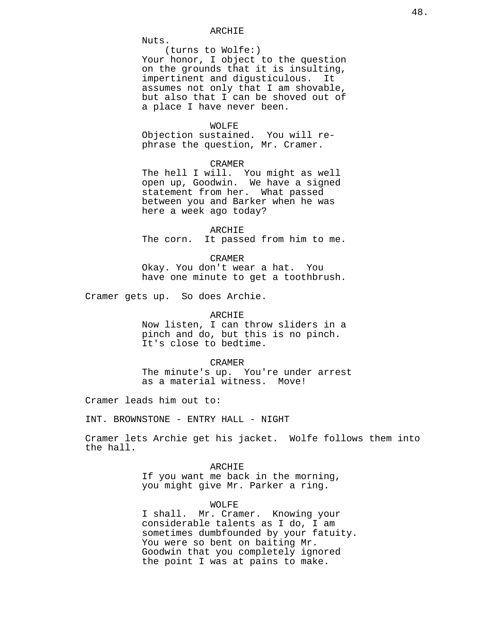Nuts.

(turns to Wolfe:) Your honor, I object to the question on the grounds that it is insulting, impertinent and digusticulous. It assumes not only that I am shovable, but also that I can be shoved out of a place I have never been.

### WOLFE

Objection sustained. You will rephrase the question, Mr. Cramer.

# CRAMER

The hell I will. You might as well open up, Goodwin. We have a signed statement from her. What passed between you and Barker when he was here a week ago today?

ARCHIE The corn. It passed from him to me.

CRAMER Okay. You don't wear a hat. You have one minute to get a toothbrush.

Cramer gets up. So does Archie.

#### ARCHIE

Now listen, I can throw sliders in a pinch and do, but this is no pinch. It's close to bedtime.

#### CRAMER

The minute's up. You're under arrest as a material witness. Move!

Cramer leads him out to:

INT. BROWNSTONE - ENTRY HALL - NIGHT

Cramer lets Archie get his jacket. Wolfe follows them into the hall.

# ARCHIE

If you want me back in the morning, you might give Mr. Parker a ring.

## WOLFE

I shall. Mr. Cramer. Knowing your considerable talents as I do, I am sometimes dumbfounded by your fatuity. You were so bent on baiting Mr. Goodwin that you completely ignored the point I was at pains to make.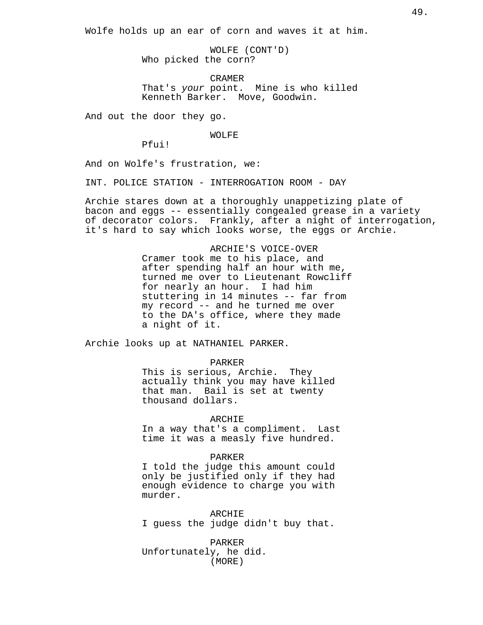Wolfe holds up an ear of corn and waves it at him.

WOLFE (CONT'D) Who picked the corn?

CRAMER That's your point. Mine is who killed Kenneth Barker. Move, Goodwin.

And out the door they go.

WOLFE

Pfui!

And on Wolfe's frustration, we:

INT. POLICE STATION - INTERROGATION ROOM - DAY

Archie stares down at a thoroughly unappetizing plate of bacon and eggs -- essentially congealed grease in a variety of decorator colors. Frankly, after a night of interrogation, it's hard to say which looks worse, the eggs or Archie.

> ARCHIE'S VOICE-OVER Cramer took me to his place, and after spending half an hour with me, turned me over to Lieutenant Rowcliff for nearly an hour. I had him stuttering in 14 minutes -- far from my record -- and he turned me over to the DA's office, where they made a night of it.

Archie looks up at NATHANIEL PARKER.

#### PARKER

This is serious, Archie. They actually think you may have killed that man. Bail is set at twenty thousand dollars.

#### ARCHIE

In a way that's a compliment. Last time it was a measly five hundred.

# PARKER

I told the judge this amount could only be justified only if they had enough evidence to charge you with murder.

ARCHIE

I guess the judge didn't buy that.

PARKER Unfortunately, he did. (MORE)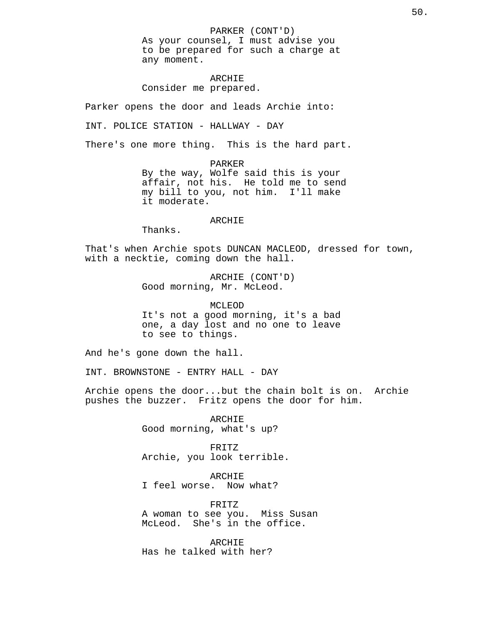PARKER (CONT'D) As your counsel, I must advise you to be prepared for such a charge at any moment.

ARCHIE Consider me prepared.

Parker opens the door and leads Archie into:

INT. POLICE STATION - HALLWAY - DAY

There's one more thing. This is the hard part.

PARKER By the way, Wolfe said this is your affair, not his. He told me to send my bill to you, not him. I'll make it moderate.

# ARCHIE

Thanks.

That's when Archie spots DUNCAN MACLEOD, dressed for town, with a necktie, coming down the hall.

> ARCHIE (CONT'D) Good morning, Mr. McLeod.

MCLEOD It's not a good morning, it's a bad one, a day lost and no one to leave to see to things.

And he's gone down the hall.

INT. BROWNSTONE - ENTRY HALL - DAY

Archie opens the door...but the chain bolt is on. Archie pushes the buzzer. Fritz opens the door for him.

> ARCHIE Good morning, what's up?

FRITZ Archie, you look terrible.

ARCHIE I feel worse. Now what?

FRITZ A woman to see you. Miss Susan McLeod. She's in the office.

ARCHIE Has he talked with her?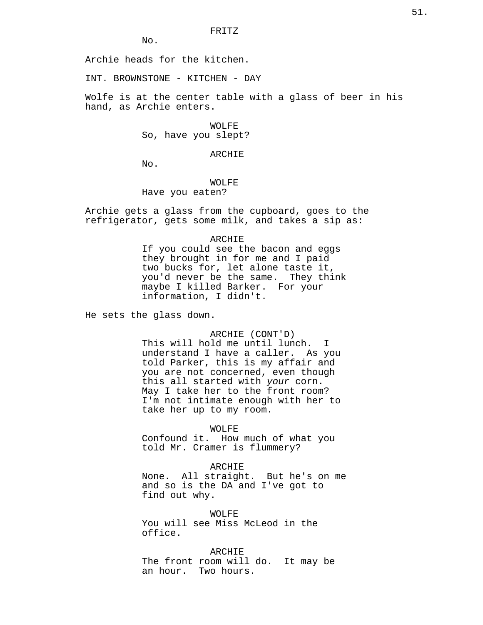No.

Archie heads for the kitchen.

INT. BROWNSTONE - KITCHEN - DAY

Wolfe is at the center table with a glass of beer in his hand, as Archie enters.

> WOLFE So, have you slept?

> > ARCHIE

No.

WOLFE Have you eaten?

Archie gets a glass from the cupboard, goes to the refrigerator, gets some milk, and takes a sip as:

# ARCHIE

If you could see the bacon and eggs they brought in for me and I paid two bucks for, let alone taste it, you'd never be the same. They think maybe I killed Barker. For your information, I didn't.

He sets the glass down.

ARCHIE (CONT'D)

This will hold me until lunch. I understand I have a caller. As you told Parker, this is my affair and you are not concerned, even though this all started with your corn. May I take her to the front room? I'm not intimate enough with her to take her up to my room.

WOLFE

Confound it. How much of what you told Mr. Cramer is flummery?

## ARCHIE

None. All straight. But he's on me and so is the DA and I've got to find out why.

WOLFE

You will see Miss McLeod in the office.

ARCHIE The front room will do. It may be an hour. Two hours.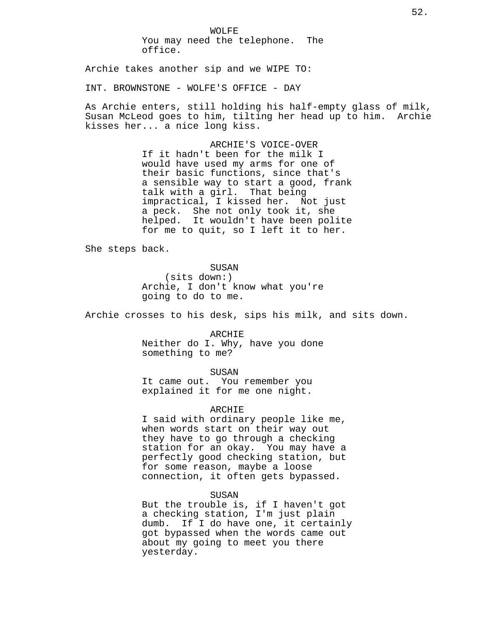WOLFE You may need the telephone. The office.

Archie takes another sip and we WIPE TO:

INT. BROWNSTONE - WOLFE'S OFFICE - DAY

As Archie enters, still holding his half-empty glass of milk, Susan McLeod goes to him, tilting her head up to him. Archie kisses her... a nice long kiss.

> ARCHIE'S VOICE-OVER If it hadn't been for the milk I would have used my arms for one of their basic functions, since that's a sensible way to start a good, frank talk with a girl. That being impractical, I kissed her. Not just a peck. She not only took it, she helped. It wouldn't have been polite for me to quit, so I left it to her.

She steps back.

SUSAN

(sits down:) Archie, I don't know what you're going to do to me.

Archie crosses to his desk, sips his milk, and sits down.

ARCHIE Neither do I. Why, have you done something to me?

SUSAN

It came out. You remember you explained it for me one night.

ARCHIE

I said with ordinary people like me, when words start on their way out they have to go through a checking station for an okay. You may have a perfectly good checking station, but for some reason, maybe a loose connection, it often gets bypassed.

SUSAN

But the trouble is, if I haven't got a checking station, I'm just plain dumb. If I do have one, it certainly got bypassed when the words came out about my going to meet you there yesterday.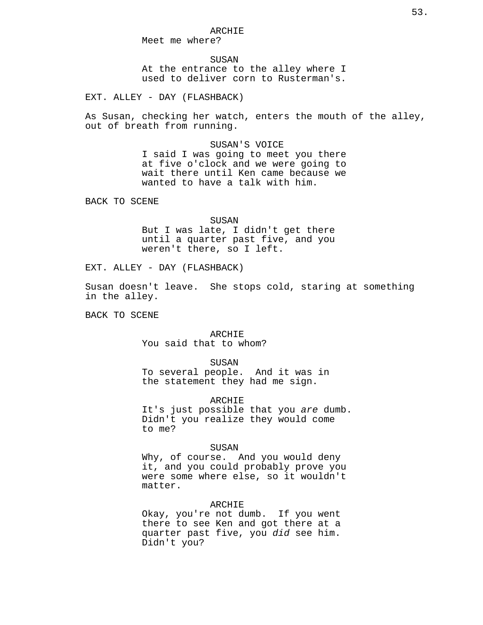Meet me where?

SUSAN At the entrance to the alley where I used to deliver corn to Rusterman's.

EXT. ALLEY - DAY (FLASHBACK)

As Susan, checking her watch, enters the mouth of the alley, out of breath from running.

> SUSAN'S VOICE I said I was going to meet you there at five o'clock and we were going to wait there until Ken came because we wanted to have a talk with him.

BACK TO SCENE

SUSAN But I was late, I didn't get there until a quarter past five, and you weren't there, so I left.

EXT. ALLEY - DAY (FLASHBACK)

Susan doesn't leave. She stops cold, staring at something in the alley.

BACK TO SCENE

ARCHIE You said that to whom?

SUSAN

To several people. And it was in the statement they had me sign.

ARCHIE

It's just possible that you are dumb. Didn't you realize they would come to me?

#### SUSAN

Why, of course. And you would deny it, and you could probably prove you were some where else, so it wouldn't matter.

# ARCHIE

Okay, you're not dumb. If you went there to see Ken and got there at a quarter past five, you did see him. Didn't you?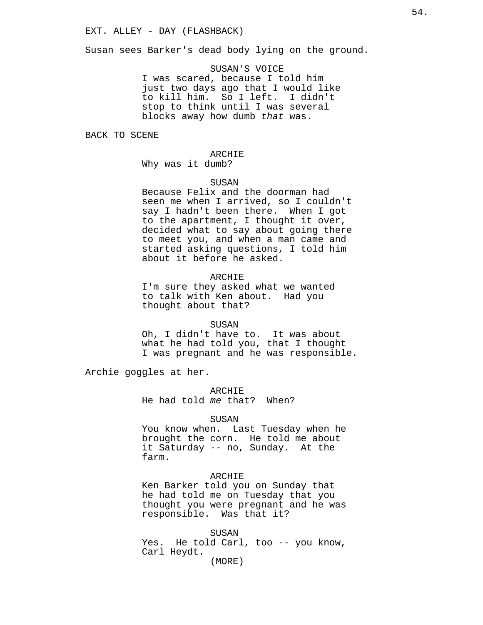Susan sees Barker's dead body lying on the ground.

SUSAN'S VOICE I was scared, because I told him just two days ago that I would like to kill him. So I left. I didn't stop to think until I was several blocks away how dumb that was.

BACK TO SCENE

# ARCHIE

Why was it dumb?

### SUSAN

Because Felix and the doorman had seen me when I arrived, so I couldn't say I hadn't been there. When I got to the apartment, I thought it over, decided what to say about going there to meet you, and when a man came and started asking questions, I told him about it before he asked.

# ARCHIE

I'm sure they asked what we wanted to talk with Ken about. Had you thought about that?

#### SUSAN

Oh, I didn't have to. It was about what he had told you, that I thought I was pregnant and he was responsible.

Archie goggles at her.

ARCHIE He had told me that? When?

#### SUSAN

You know when. Last Tuesday when he brought the corn. He told me about it Saturday -- no, Sunday. At the farm.

# ARCHIE

Ken Barker told you on Sunday that he had told me on Tuesday that you thought you were pregnant and he was responsible. Was that it?

#### SUSAN

Yes. He told Carl, too -- you know, Carl Heydt.

(MORE)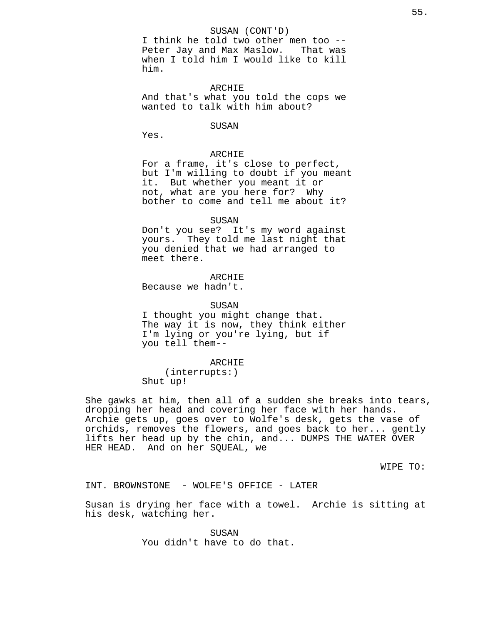### SUSAN (CONT'D)

I think he told two other men too -- Peter Jay and Max Maslow. That was when I told him I would like to kill him.

### ARCHIE

And that's what you told the cops we wanted to talk with him about?

# SUSAN

Yes.

# ARCHIE

For a frame, it's close to perfect, but I'm willing to doubt if you meant it. But whether you meant it or not, what are you here for? Why bother to come and tell me about it?

#### SUSAN

Don't you see? It's my word against yours. They told me last night that you denied that we had arranged to meet there.

# ARCHIE

Because we hadn't.

### SUSAN

I thought you might change that. The way it is now, they think either I'm lying or you're lying, but if you tell them--

### ARCHIE

(interrupts:) Shut up!

She gawks at him, then all of a sudden she breaks into tears, dropping her head and covering her face with her hands. Archie gets up, goes over to Wolfe's desk, gets the vase of orchids, removes the flowers, and goes back to her... gently lifts her head up by the chin, and... DUMPS THE WATER OVER HER HEAD. And on her SQUEAL, we

WIPE TO:

INT. BROWNSTONE - WOLFE'S OFFICE - LATER

Susan is drying her face with a towel. Archie is sitting at his desk, watching her.

> SUSAN You didn't have to do that.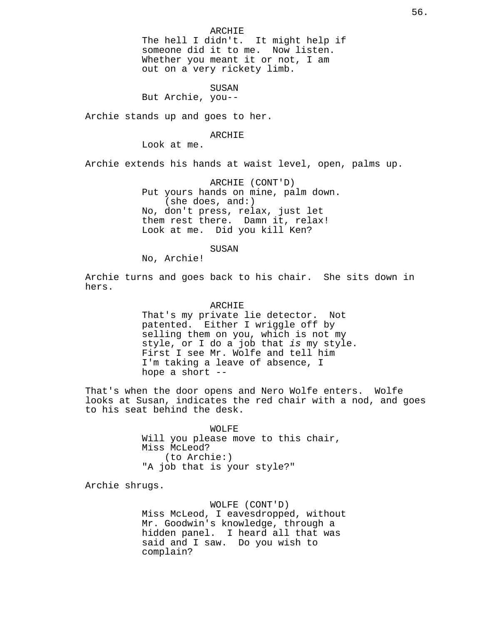The hell I didn't. It might help if someone did it to me. Now listen. Whether you meant it or not, I am out on a very rickety limb.

SUSAN

But Archie, you--

Archie stands up and goes to her.

# ARCHIE

Look at me.

Archie extends his hands at waist level, open, palms up.

ARCHIE (CONT'D) Put yours hands on mine, palm down. (she does, and:) No, don't press, relax, just let them rest there. Damn it, relax! Look at me. Did you kill Ken?

SUSAN

No, Archie!

Archie turns and goes back to his chair. She sits down in hers.

#### ARCHIE

That's my private lie detector. Not patented. Either I wriggle off by selling them on you, which is not my style, or I do a job that is my style. First I see Mr. Wolfe and tell him I'm taking a leave of absence, I hope a short --

That's when the door opens and Nero Wolfe enters. Wolfe looks at Susan, indicates the red chair with a nod, and goes to his seat behind the desk.

> WOLFE Will you please move to this chair, Miss McLeod? (to Archie:) "A job that is your style?"

Archie shrugs.

WOLFE (CONT'D) Miss McLeod, I eavesdropped, without Mr. Goodwin's knowledge, through a hidden panel. I heard all that was said and I saw. Do you wish to complain?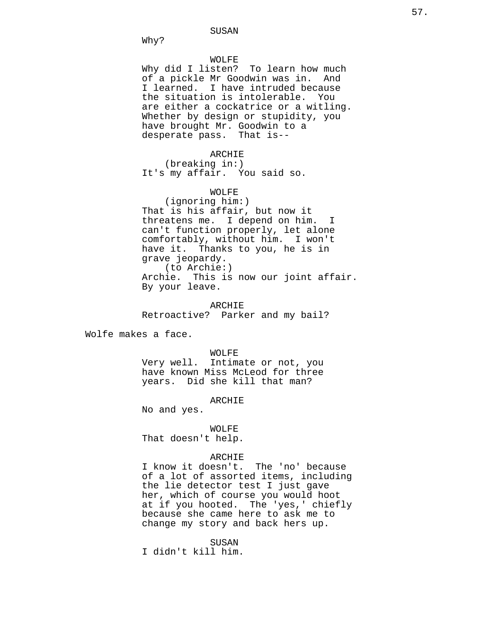Why?

# WOLFE

Why did I listen? To learn how much of a pickle Mr Goodwin was in. And I learned. I have intruded because the situation is intolerable. You are either a cockatrice or a witling. Whether by design or stupidity, you have brought Mr. Goodwin to a desperate pass. That is--

### ARCHIE

(breaking in:) It's my affair. You said so.

# WOLFE

(ignoring him:) That is his affair, but now it threatens me. I depend on him. I can't function properly, let alone comfortably, without him. I won't have it. Thanks to you, he is in grave jeopardy. (to Archie:) Archie. This is now our joint affair. By your leave.

ARCHIE Retroactive? Parker and my bail?

Wolfe makes a face.

WOLFE

Very well. Intimate or not, you have known Miss McLeod for three years. Did she kill that man?

#### ARCHIE

No and yes.

#### WOLFE

That doesn't help.

## ARCHIE

I know it doesn't. The 'no' because of a lot of assorted items, including the lie detector test I just gave her, which of course you would hoot at if you hooted. The 'yes,' chiefly because she came here to ask me to change my story and back hers up.

SUSAN

I didn't kill him.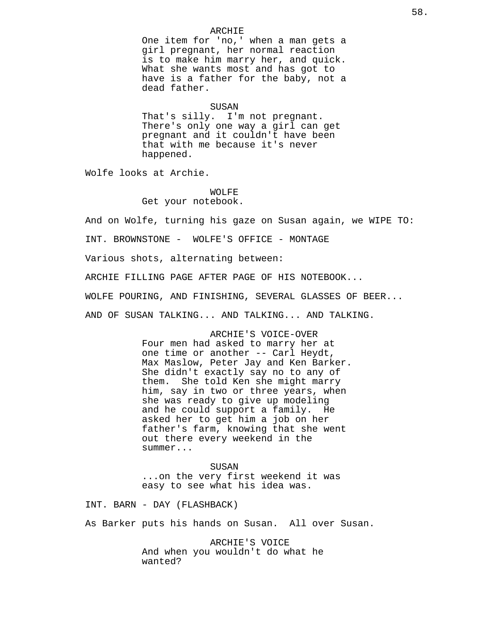One item for 'no,' when a man gets a girl pregnant, her normal reaction is to make him marry her, and quick. What she wants most and has got to have is a father for the baby, not a dead father.

#### SUSAN

ARCHIE

That's silly. I'm not pregnant. There's only one way a girl can get pregnant and it couldn't have been that with me because it's never happened.

Wolfe looks at Archie.

WOLFE

Get your notebook.

And on Wolfe, turning his gaze on Susan again, we WIPE TO:

INT. BROWNSTONE - WOLFE'S OFFICE - MONTAGE

Various shots, alternating between:

ARCHIE FILLING PAGE AFTER PAGE OF HIS NOTEBOOK...

WOLFE POURING, AND FINISHING, SEVERAL GLASSES OF BEER...

AND OF SUSAN TALKING... AND TALKING... AND TALKING.

ARCHIE'S VOICE-OVER Four men had asked to marry her at one time or another -- Carl Heydt, Max Maslow, Peter Jay and Ken Barker. She didn't exactly say no to any of them. She told Ken she might marry him, say in two or three years, when she was ready to give up modeling and he could support a family. He asked her to get him a job on her father's farm, knowing that she went out there every weekend in the summer...

SUSAN ...on the very first weekend it was easy to see what his idea was.

INT. BARN - DAY (FLASHBACK)

As Barker puts his hands on Susan. All over Susan.

ARCHIE'S VOICE And when you wouldn't do what he wanted?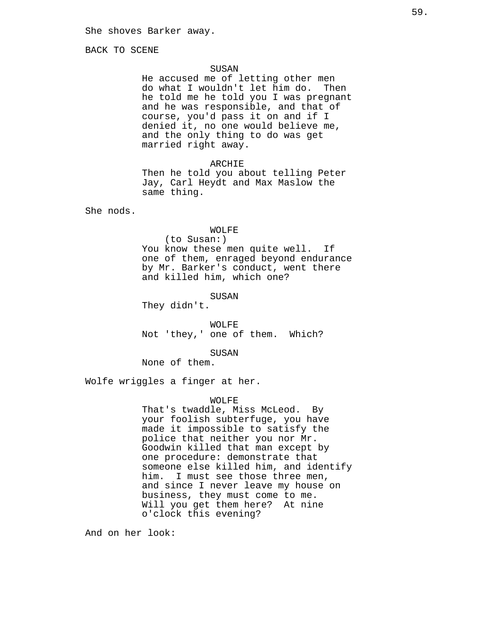BACK TO SCENE

# SUSAN

He accused me of letting other men do what I wouldn't let him do. Then he told me he told you I was pregnant and he was responsible, and that of course, you'd pass it on and if I denied it, no one would believe me, and the only thing to do was get married right away.

## ARCHIE

Then he told you about telling Peter Jay, Carl Heydt and Max Maslow the same thing.

She nods.

# WOLFE

(to Susan:) You know these men quite well. If one of them, enraged beyond endurance by Mr. Barker's conduct, went there and killed him, which one?

SUSAN

They didn't.

WOLFE Not 'they,' one of them. Which?

SUSAN

None of them.

Wolfe wriggles a finger at her.

# WOLFE

That's twaddle, Miss McLeod. By your foolish subterfuge, you have made it impossible to satisfy the police that neither you nor Mr. Goodwin killed that man except by one procedure: demonstrate that someone else killed him, and identify him. I must see those three men, and since I never leave my house on business, they must come to me. Will you get them here? At nine o'clock this evening?

And on her look: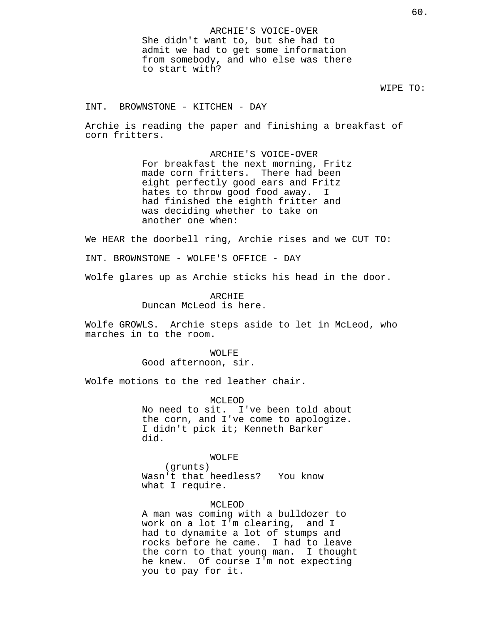INT. BROWNSTONE - KITCHEN - DAY

Archie is reading the paper and finishing a breakfast of corn fritters.

> ARCHIE'S VOICE-OVER For breakfast the next morning, Fritz made corn fritters. There had been eight perfectly good ears and Fritz hates to throw good food away. I had finished the eighth fritter and was deciding whether to take on another one when:

We HEAR the doorbell ring, Archie rises and we CUT TO:

INT. BROWNSTONE - WOLFE'S OFFICE - DAY

Wolfe glares up as Archie sticks his head in the door.

ARCHIE Duncan McLeod is here.

Wolfe GROWLS. Archie steps aside to let in McLeod, who marches in to the room.

> WOLFE Good afternoon, sir.

Wolfe motions to the red leather chair.

MCLEOD No need to sit. I've been told about the corn, and I've come to apologize. I didn't pick it; Kenneth Barker did.

### WOLFE

(grunts) Wasn't that heedless? You know what I require.

# MCLEOD

A man was coming with a bulldozer to work on a lot I'm clearing, and I had to dynamite a lot of stumps and rocks before he came. I had to leave the corn to that young man. I thought he knew. Of course I'm not expecting you to pay for it.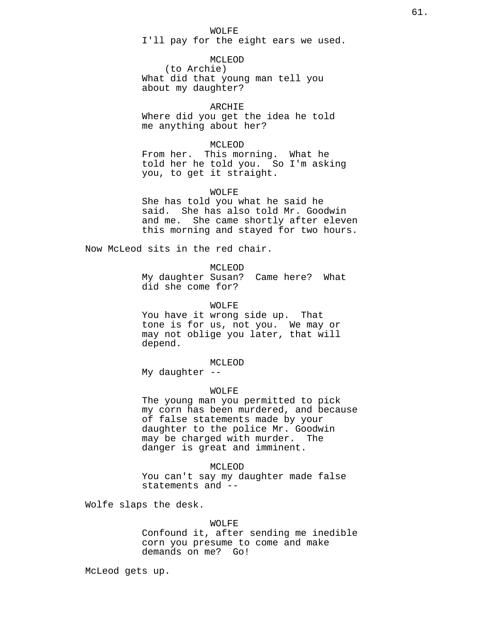# WOLFE I'll pay for the eight ears we used.

MCLEOD (to Archie) What did that young man tell you about my daughter?

ARCHIE

Where did you get the idea he told me anything about her?

MCLEOD

From her. This morning. What he told her he told you. So I'm asking you, to get it straight.

WOLFE

She has told you what he said he said. She has also told Mr. Goodwin and me. She came shortly after eleven this morning and stayed for two hours.

Now McLeod sits in the red chair.

MCLEOD

My daughter Susan? Came here? What did she come for?

WOLFE

You have it wrong side up. That tone is for us, not you. We may or may not oblige you later, that will depend.

MCLEOD

My daughter --

## WOLFE

The young man you permitted to pick my corn has been murdered, and because of false statements made by your daughter to the police Mr. Goodwin may be charged with murder. The danger is great and imminent.

## MCLEOD

You can't say my daughter made false statements and --

Wolfe slaps the desk.

#### WOLFE

Confound it, after sending me inedible corn you presume to come and make demands on me? Go!

McLeod gets up.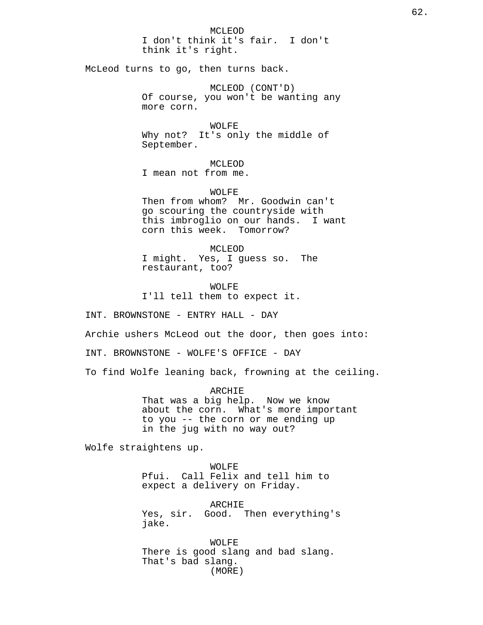MCLEOD I don't think it's fair. I don't think it's right. McLeod turns to go, then turns back. MCLEOD (CONT'D) Of course, you won't be wanting any more corn. WOLFE Why not? It's only the middle of September. MCLEOD I mean not from me. WOLFE Then from whom? Mr. Goodwin can't go scouring the countryside with this imbroglio on our hands. I want corn this week. Tomorrow? MCLEOD I might. Yes, I guess so. The restaurant, too? WOLFE I'll tell them to expect it. INT. BROWNSTONE - ENTRY HALL - DAY Archie ushers McLeod out the door, then goes into: INT. BROWNSTONE - WOLFE'S OFFICE - DAY To find Wolfe leaning back, frowning at the ceiling. ARCHIE That was a big help. Now we know about the corn. What's more important to you -- the corn or me ending up in the jug with no way out? Wolfe straightens up. WOLFE

Pfui. Call Felix and tell him to expect a delivery on Friday.

ARCHIE Yes, sir. Good. Then everything's jake.

WOLFE There is good slang and bad slang. That's bad slang. (MORE)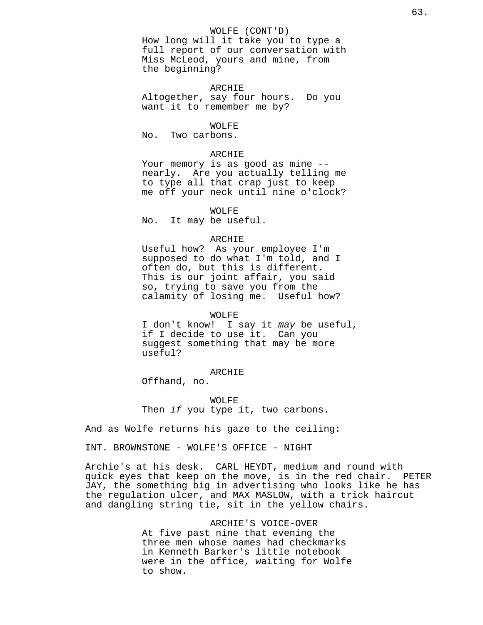### WOLFE (CONT'D)

How long will it take you to type a full report of our conversation with Miss McLeod, yours and mine, from the beginning?

#### ARCHIE

Altogether, say four hours. Do you want it to remember me by?

## WOLFE

No. Two carbons.

## ARCHIE

Your memory is as good as mine - nearly. Are you actually telling me to type all that crap just to keep me off your neck until nine o'clock?

WOLFE No. It may be useful.

# ARCHIE

Useful how? As your employee I'm supposed to do what I'm told, and I often do, but this is different. This is our joint affair, you said so, trying to save you from the calamity of losing me. Useful how?

#### WOLFE

I don't know! I say it may be useful, if I decide to use it. Can you suggest something that may be more useful?

### ARCHIE

Offhand, no.

WOLFE Then if you type it, two carbons.

And as Wolfe returns his gaze to the ceiling:

INT. BROWNSTONE - WOLFE'S OFFICE - NIGHT

Archie's at his desk. CARL HEYDT, medium and round with quick eyes that keep on the move, is in the red chair. PETER JAY, the something big in advertising who looks like he has the regulation ulcer, and MAX MASLOW, with a trick haircut and dangling string tie, sit in the yellow chairs.

> ARCHIE'S VOICE-OVER At five past nine that evening the three men whose names had checkmarks in Kenneth Barker's little notebook were in the office, waiting for Wolfe to show.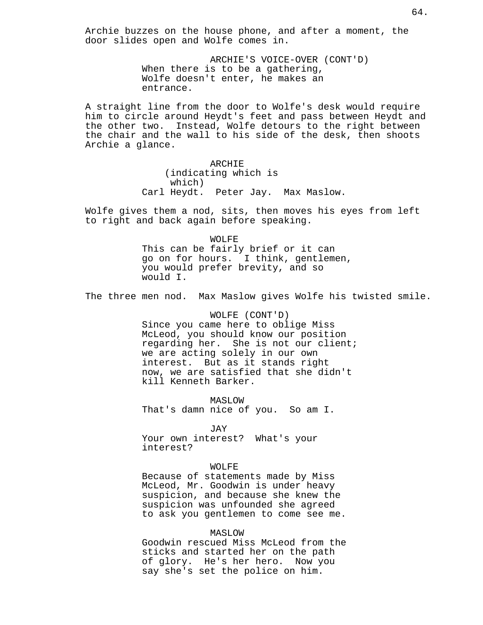Archie buzzes on the house phone, and after a moment, the door slides open and Wolfe comes in.

> ARCHIE'S VOICE-OVER (CONT'D) When there is to be a gathering, Wolfe doesn't enter, he makes an entrance.

A straight line from the door to Wolfe's desk would require him to circle around Heydt's feet and pass between Heydt and the other two. Instead, Wolfe detours to the right between the chair and the wall to his side of the desk, then shoots Archie a glance.

> ARCHIE (indicating which is which) Carl Heydt. Peter Jay. Max Maslow.

Wolfe gives them a nod, sits, then moves his eyes from left to right and back again before speaking.

> WOLFE This can be fairly brief or it can go on for hours. I think, gentlemen, you would prefer brevity, and so would I.

The three men nod. Max Maslow gives Wolfe his twisted smile.

WOLFE (CONT'D) Since you came here to oblige Miss McLeod, you should know our position regarding her. She is not our client; we are acting solely in our own interest. But as it stands right now, we are satisfied that she didn't kill Kenneth Barker.

MASLOW That's damn nice of you. So am I.

JAY Your own interest? What's your interest?

### WOLFE

Because of statements made by Miss McLeod, Mr. Goodwin is under heavy suspicion, and because she knew the suspicion was unfounded she agreed to ask you gentlemen to come see me.

### MASLOW

Goodwin rescued Miss McLeod from the sticks and started her on the path of glory. He's her hero. Now you say she's set the police on him.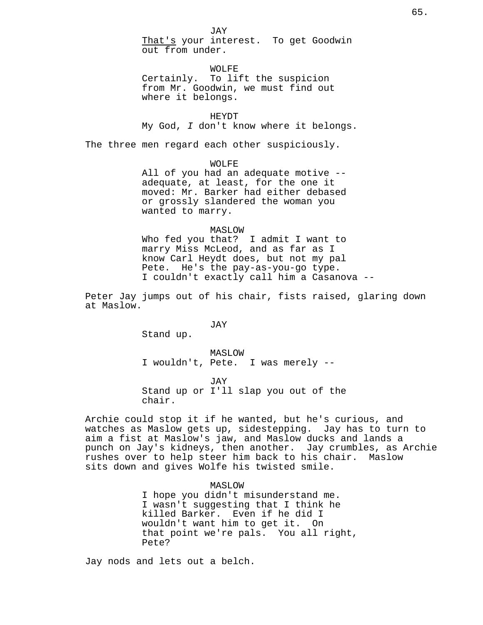WOLFE Certainly. To lift the suspicion from Mr. Goodwin, we must find out where it belongs.

HEYDT My God, I don't know where it belongs.

The three men regard each other suspiciously.

WOLFE

All of you had an adequate motive - adequate, at least, for the one it moved: Mr. Barker had either debased or grossly slandered the woman you wanted to marry.

# MASLOW

Who fed you that? I admit I want to marry Miss McLeod, and as far as I know Carl Heydt does, but not my pal Pete. He's the pay-as-you-go type. I couldn't exactly call him a Casanova --

Peter Jay jumps out of his chair, fists raised, glaring down at Maslow.

JAY

Stand up.

MASLOW I wouldn't, Pete. I was merely --

JAY Stand up or I'll slap you out of the chair.

Archie could stop it if he wanted, but he's curious, and watches as Maslow gets up, sidestepping. Jay has to turn to aim a fist at Maslow's jaw, and Maslow ducks and lands a punch on Jay's kidneys, then another. Jay crumbles, as Archie rushes over to help steer him back to his chair. Maslow sits down and gives Wolfe his twisted smile.

> MASLOW I hope you didn't misunderstand me. I wasn't suggesting that I think he killed Barker. Even if he did I wouldn't want him to get it. On that point we're pals. You all right, Pete?

Jay nods and lets out a belch.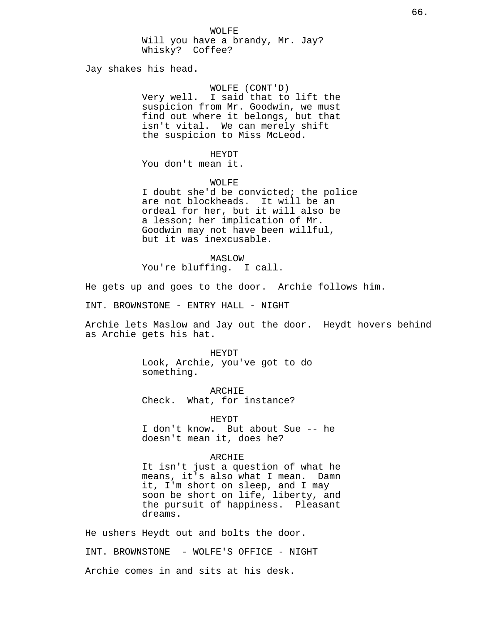Will you have a brandy, Mr. Jay? Whisky? Coffee?

Jay shakes his head.

# WOLFE (CONT'D)

Very well. I said that to lift the suspicion from Mr. Goodwin, we must find out where it belongs, but that isn't vital. We can merely shift the suspicion to Miss McLeod.

HEYDT

You don't mean it.

WOLFE

I doubt she'd be convicted; the police are not blockheads. It will be an ordeal for her, but it will also be a lesson; her implication of Mr. Goodwin may not have been willful, but it was inexcusable.

MASLOW You're bluffing. I call.

He gets up and goes to the door. Archie follows him.

INT. BROWNSTONE - ENTRY HALL - NIGHT

Archie lets Maslow and Jay out the door. Heydt hovers behind as Archie gets his hat.

> HEYDT Look, Archie, you've got to do something.

ARCHIE Check. What, for instance?

HEYDT

I don't know. But about Sue -- he doesn't mean it, does he?

### ARCHIE

It isn't just a question of what he means, it's also what I mean. Damn it, I'm short on sleep, and I may soon be short on life, liberty, and the pursuit of happiness. Pleasant dreams.

He ushers Heydt out and bolts the door. INT. BROWNSTONE - WOLFE'S OFFICE - NIGHT Archie comes in and sits at his desk.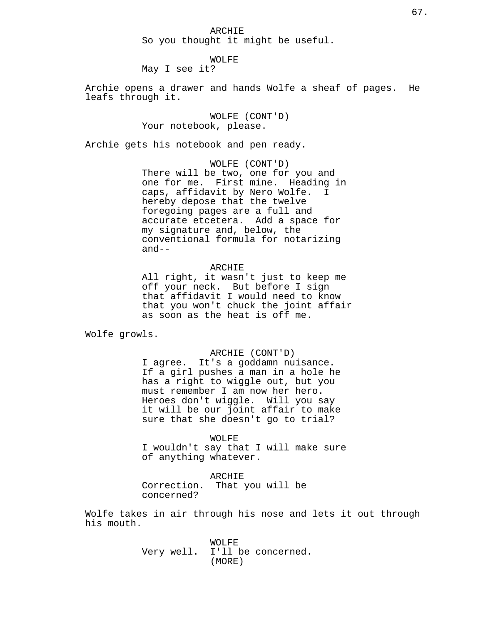ARCHIE So you thought it might be useful.

# WOLFE

May I see it?

Archie opens a drawer and hands Wolfe a sheaf of pages. He leafs through it.

> WOLFE (CONT'D) Your notebook, please.

Archie gets his notebook and pen ready.

WOLFE (CONT'D) There will be two, one for you and one for me. First mine. Heading in caps, affidavit by Nero Wolfe. I hereby depose that the twelve foregoing pages are a full and accurate etcetera. Add a space for my signature and, below, the conventional formula for notarizing and--

# ARCHIE

All right, it wasn't just to keep me off your neck. But before I sign that affidavit I would need to know that you won't chuck the joint affair as soon as the heat is off me.

Wolfe growls.

#### ARCHIE (CONT'D)

I agree. It's a goddamn nuisance. If a girl pushes a man in a hole he has a right to wiggle out, but you must remember I am now her hero. Heroes don't wiggle. Will you say it will be our joint affair to make sure that she doesn't go to trial?

WOLFE

I wouldn't say that I will make sure of anything whatever.

ARCHIE Correction. That you will be

concerned?

Wolfe takes in air through his nose and lets it out through his mouth.

> WOLFE Very well. I'll be concerned. (MORE)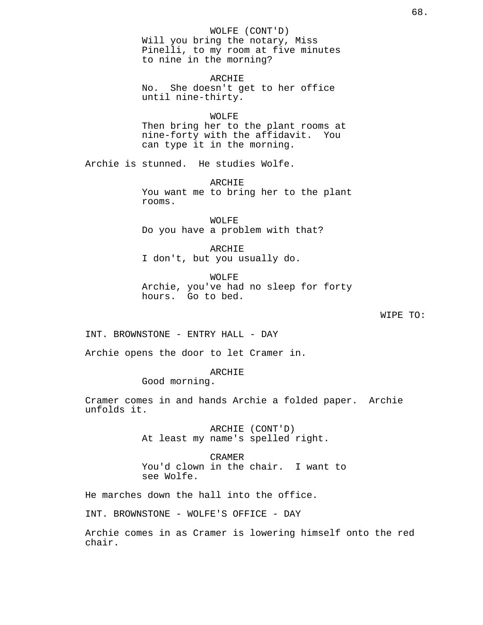# WOLFE (CONT'D)

Will you bring the notary, Miss Pinelli, to my room at five minutes to nine in the morning?

ARCHIE

No. She doesn't get to her office until nine-thirty.

WOLFE

Then bring her to the plant rooms at nine-forty with the affidavit. You can type it in the morning.

Archie is stunned. He studies Wolfe.

ARCHIE You want me to bring her to the plant rooms.

WOLFE Do you have a problem with that?

ARCHIE I don't, but you usually do.

WOLFE Archie, you've had no sleep for forty hours. Go to bed.

WIPE TO:

INT. BROWNSTONE - ENTRY HALL - DAY

Archie opens the door to let Cramer in.

ARCHIE

Good morning.

Cramer comes in and hands Archie a folded paper. Archie unfolds it.

> ARCHIE (CONT'D) At least my name's spelled right.

CRAMER You'd clown in the chair. I want to see Wolfe.

He marches down the hall into the office.

INT. BROWNSTONE - WOLFE'S OFFICE - DAY

Archie comes in as Cramer is lowering himself onto the red chair.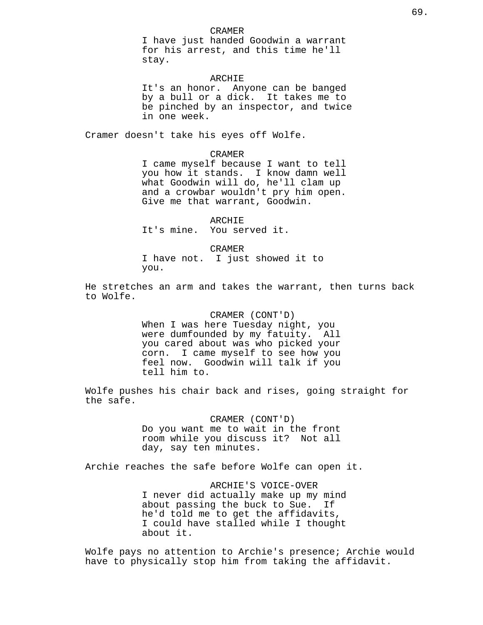I have just handed Goodwin a warrant for his arrest, and this time he'll stay.

# ARCHIE

It's an honor. Anyone can be banged by a bull or a dick. It takes me to be pinched by an inspector, and twice in one week.

Cramer doesn't take his eyes off Wolfe.

# CRAMER

I came myself because I want to tell you how it stands. I know damn well what Goodwin will do, he'll clam up and a crowbar wouldn't pry him open. Give me that warrant, Goodwin.

ARCHIE It's mine. You served it.

CRAMER I have not. I just showed it to you.

He stretches an arm and takes the warrant, then turns back to Wolfe.

> CRAMER (CONT'D) When I was here Tuesday night, you were dumfounded by my fatuity. All you cared about was who picked your corn. I came myself to see how you feel now. Goodwin will talk if you tell him to.

Wolfe pushes his chair back and rises, going straight for the safe.

> CRAMER (CONT'D) Do you want me to wait in the front room while you discuss it? Not all day, say ten minutes.

Archie reaches the safe before Wolfe can open it.

ARCHIE'S VOICE-OVER I never did actually make up my mind about passing the buck to Sue. If he'd told me to get the affidavits, I could have stalled while I thought about it.

Wolfe pays no attention to Archie's presence; Archie would have to physically stop him from taking the affidavit.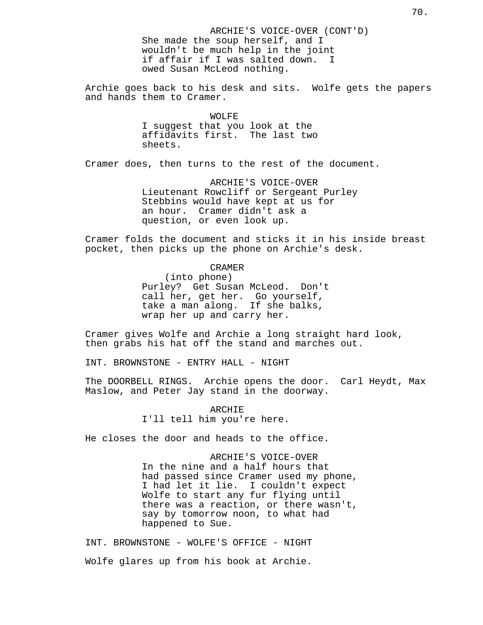ARCHIE'S VOICE-OVER (CONT'D) She made the soup herself, and I wouldn't be much help in the joint if affair if I was salted down. owed Susan McLeod nothing.

Archie goes back to his desk and sits. Wolfe gets the papers and hands them to Cramer.

> WOLFE I suggest that you look at the affidavits first. The last two sheets.

Cramer does, then turns to the rest of the document.

ARCHIE'S VOICE-OVER Lieutenant Rowcliff or Sergeant Purley Stebbins would have kept at us for an hour. Cramer didn't ask a question, or even look up.

Cramer folds the document and sticks it in his inside breast pocket, then picks up the phone on Archie's desk.

CRAMER

(into phone) Purley? Get Susan McLeod. Don't call her, get her. Go yourself, take a man along. If she balks, wrap her up and carry her.

Cramer gives Wolfe and Archie a long straight hard look, then grabs his hat off the stand and marches out.

INT. BROWNSTONE - ENTRY HALL - NIGHT

The DOORBELL RINGS. Archie opens the door. Carl Heydt, Max Maslow, and Peter Jay stand in the doorway.

> ARCHIE I'll tell him you're here.

He closes the door and heads to the office.

ARCHIE'S VOICE-OVER In the nine and a half hours that had passed since Cramer used my phone, I had let it lie. I couldn't expect Wolfe to start any fur flying until there was a reaction, or there wasn't, say by tomorrow noon, to what had happened to Sue.

INT. BROWNSTONE - WOLFE'S OFFICE - NIGHT Wolfe glares up from his book at Archie.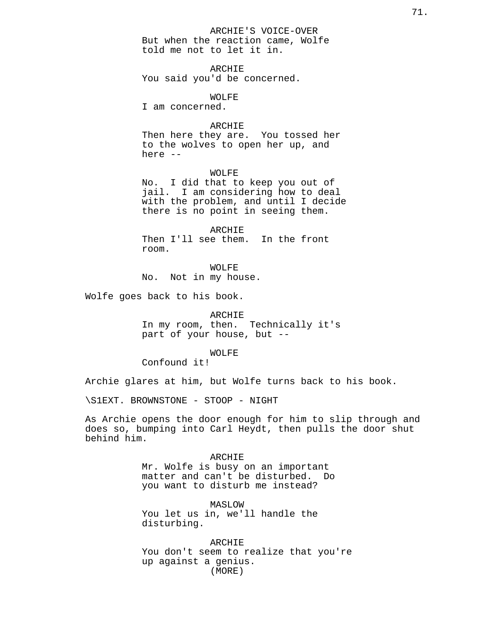ARCHIE'S VOICE-OVER But when the reaction came, Wolfe told me not to let it in.

ARCHIE You said you'd be concerned.

WOLFE

I am concerned.

# ARCHIE

Then here they are. You tossed her to the wolves to open her up, and here --

# WOLFE

No. I did that to keep you out of jail. I am considering how to deal with the problem, and until I decide there is no point in seeing them.

ARCHIE Then I'll see them. In the front room.

WOLFE No. Not in my house.

Wolfe goes back to his book.

ARCHIE

In my room, then. Technically it's part of your house, but --

### WOLFE

Confound it!

Archie glares at him, but Wolfe turns back to his book.

\S1EXT. BROWNSTONE - STOOP - NIGHT

As Archie opens the door enough for him to slip through and does so, bumping into Carl Heydt, then pulls the door shut behind him.

> ARCHIE Mr. Wolfe is busy on an important matter and can't be disturbed. Do you want to disturb me instead?

MASLOW You let us in, we'll handle the disturbing.

ARCHIE You don't seem to realize that you're up against a genius. (MORE)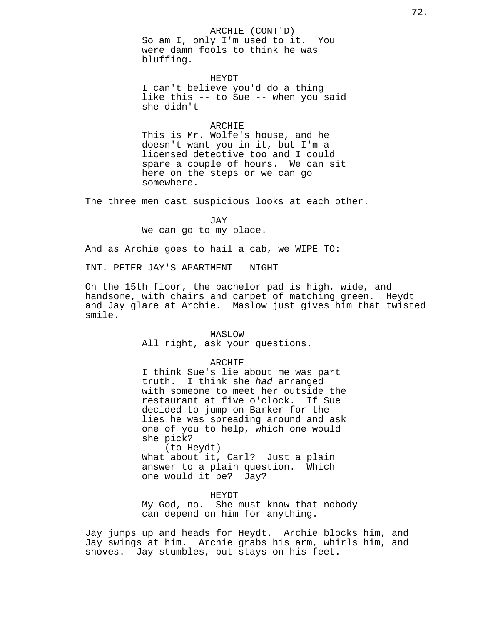# ARCHIE (CONT'D)

So am I, only I'm used to it. You were damn fools to think he was bluffing.

#### HEYDT

I can't believe you'd do a thing like this -- to Sue -- when you said she didn't --

## ARCHIE

This is Mr. Wolfe's house, and he doesn't want you in it, but I'm a licensed detective too and I could spare a couple of hours. We can sit here on the steps or we can go somewhere.

The three men cast suspicious looks at each other.

JAY We can go to my place.

And as Archie goes to hail a cab, we WIPE TO:

INT. PETER JAY'S APARTMENT - NIGHT

On the 15th floor, the bachelor pad is high, wide, and handsome, with chairs and carpet of matching green. Heydt and Jay glare at Archie. Maslow just gives him that twisted smile.

### MASLOW

All right, ask your questions.

#### ARCHIE

I think Sue's lie about me was part truth. I think she had arranged with someone to meet her outside the restaurant at five o'clock. If Sue decided to jump on Barker for the lies he was spreading around and ask one of you to help, which one would she pick?

(to Heydt) What about it, Carl? Just a plain answer to a plain question. Which one would it be? Jay?

#### HEYDT

My God, no. She must know that nobody can depend on him for anything.

Jay jumps up and heads for Heydt. Archie blocks him, and Jay swings at him. Archie grabs his arm, whirls him, and shoves. Jay stumbles, but stays on his feet.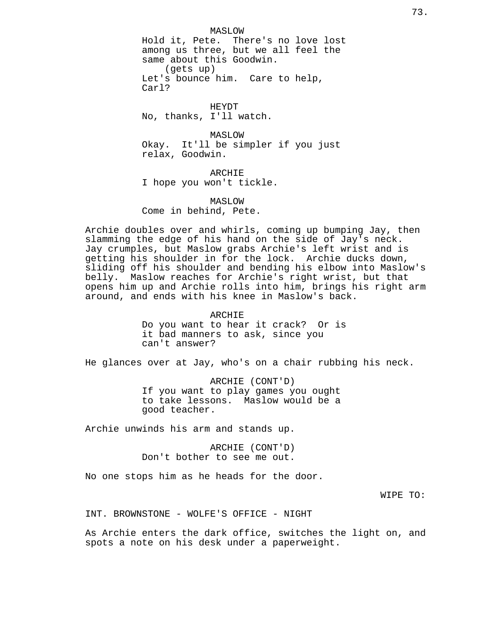MASLOW Hold it, Pete. There's no love lost among us three, but we all feel the same about this Goodwin. (gets up) Let's bounce him. Care to help, Carl?

HEYDT No, thanks, I'll watch.

MASLOW Okay. It'll be simpler if you just relax, Goodwin.

ARCHIE I hope you won't tickle.

MASLOW Come in behind, Pete.

Archie doubles over and whirls, coming up bumping Jay, then slamming the edge of his hand on the side of Jay's neck. Jay crumples, but Maslow grabs Archie's left wrist and is getting his shoulder in for the lock. Archie ducks down, sliding off his shoulder and bending his elbow into Maslow's belly. Maslow reaches for Archie's right wrist, but that opens him up and Archie rolls into him, brings his right arm around, and ends with his knee in Maslow's back.

> ARCHIE Do you want to hear it crack? Or is it bad manners to ask, since you can't answer?

He glances over at Jay, who's on a chair rubbing his neck.

ARCHIE (CONT'D) If you want to play games you ought to take lessons. Maslow would be a good teacher.

Archie unwinds his arm and stands up.

ARCHIE (CONT'D) Don't bother to see me out.

No one stops him as he heads for the door.

WIPE TO:

INT. BROWNSTONE - WOLFE'S OFFICE - NIGHT

As Archie enters the dark office, switches the light on, and spots a note on his desk under a paperweight.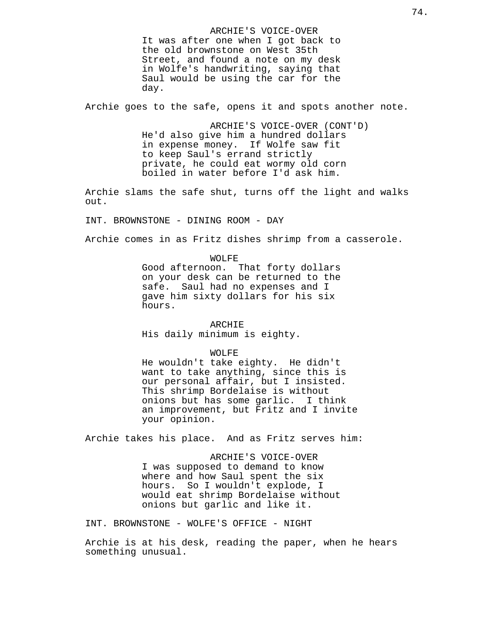ARCHIE'S VOICE-OVER It was after one when I got back to the old brownstone on West 35th Street, and found a note on my desk in Wolfe's handwriting, saying that Saul would be using the car for the day.

Archie goes to the safe, opens it and spots another note.

ARCHIE'S VOICE-OVER (CONT'D) He'd also give him a hundred dollars in expense money. If Wolfe saw fit to keep Saul's errand strictly private, he could eat wormy old corn boiled in water before I'd ask him.

Archie slams the safe shut, turns off the light and walks out.

INT. BROWNSTONE - DINING ROOM - DAY

hours.

Archie comes in as Fritz dishes shrimp from a casserole.

WOLFE Good afternoon. That forty dollars on your desk can be returned to the safe. Saul had no expenses and I gave him sixty dollars for his six

#### ARCHIE

His daily minimum is eighty.

WOLFE

He wouldn't take eighty. He didn't want to take anything, since this is our personal affair, but I insisted. This shrimp Bordelaise is without onions but has some garlic. I think an improvement, but Fritz and I invite your opinion.

Archie takes his place. And as Fritz serves him:

ARCHIE'S VOICE-OVER I was supposed to demand to know where and how Saul spent the six hours. So I wouldn't explode, I would eat shrimp Bordelaise without onions but garlic and like it.

INT. BROWNSTONE - WOLFE'S OFFICE - NIGHT

Archie is at his desk, reading the paper, when he hears something unusual.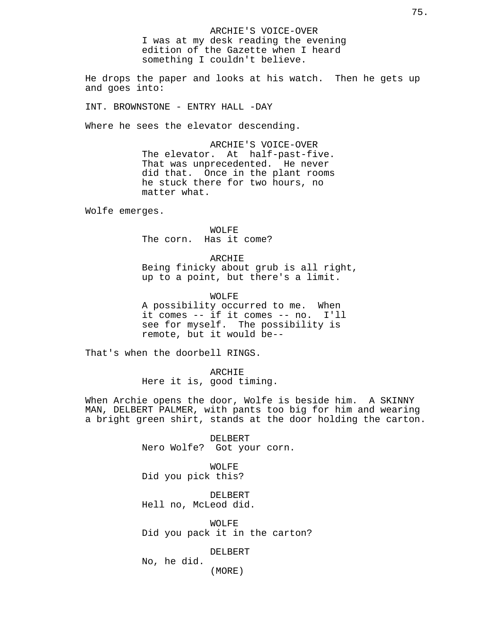ARCHIE'S VOICE-OVER I was at my desk reading the evening edition of the Gazette when I heard something I couldn't believe.

He drops the paper and looks at his watch. Then he gets up and goes into:

INT. BROWNSTONE - ENTRY HALL -DAY

Where he sees the elevator descending.

ARCHIE'S VOICE-OVER The elevator. At half-past-five. That was unprecedented. He never did that. Once in the plant rooms he stuck there for two hours, no matter what.

Wolfe emerges.

WOLFE The corn. Has it come?

ARCHIE Being finicky about grub is all right, up to a point, but there's a limit.

WOLFE A possibility occurred to me. When it comes -- if it comes -- no. I'll see for myself. The possibility is remote, but it would be--

That's when the doorbell RINGS.

ARCHIE Here it is, good timing.

When Archie opens the door, Wolfe is beside him. A SKINNY MAN, DELBERT PALMER, with pants too big for him and wearing a bright green shirt, stands at the door holding the carton.

> DELBERT Nero Wolfe? Got your corn.

WOLFE Did you pick this?

DELBERT Hell no, McLeod did.

WOLFE Did you pack it in the carton?

DELBERT

(MORE)

No, he did.

75.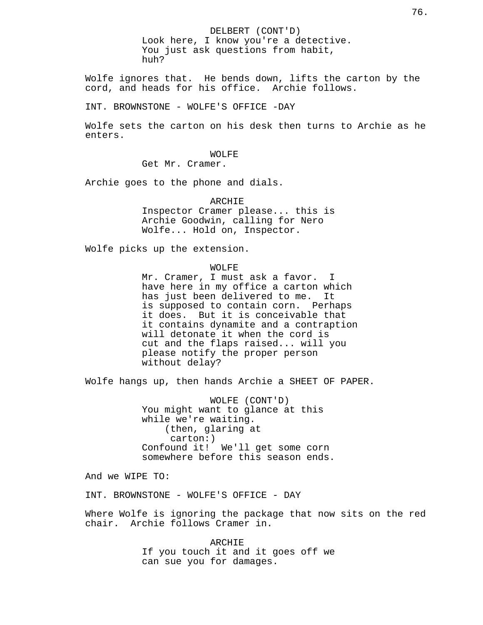Wolfe ignores that. He bends down, lifts the carton by the cord, and heads for his office. Archie follows.

You just ask questions from habit,

INT. BROWNSTONE - WOLFE'S OFFICE -DAY

huh?

Wolfe sets the carton on his desk then turns to Archie as he enters.

> WOLFE Get Mr. Cramer.

Archie goes to the phone and dials.

ARCHIE Inspector Cramer please... this is Archie Goodwin, calling for Nero Wolfe... Hold on, Inspector.

Wolfe picks up the extension.

WOLFE

Mr. Cramer, I must ask a favor. I have here in my office a carton which has just been delivered to me. It is supposed to contain corn. Perhaps it does. But it is conceivable that it contains dynamite and a contraption will detonate it when the cord is cut and the flaps raised... will you please notify the proper person without delay?

Wolfe hangs up, then hands Archie a SHEET OF PAPER.

WOLFE (CONT'D) You might want to glance at this while we're waiting. (then, glaring at carton:) Confound it! We'll get some corn somewhere before this season ends.

And we WIPE TO:

INT. BROWNSTONE - WOLFE'S OFFICE - DAY

Where Wolfe is ignoring the package that now sits on the red chair. Archie follows Cramer in.

> ARCHIE If you touch it and it goes off we can sue you for damages.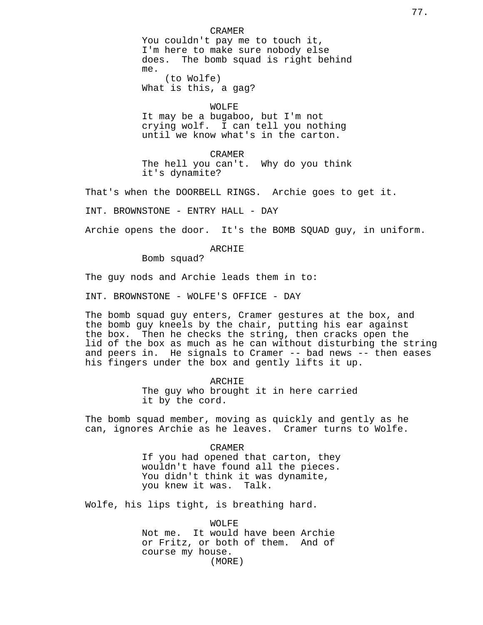CRAMER You couldn't pay me to touch it, I'm here to make sure nobody else does. The bomb squad is right behind me. (to Wolfe)

What is this, a gag?

## WOLFE

It may be a bugaboo, but I'm not crying wolf. I can tell you nothing until we know what's in the carton.

CRAMER The hell you can't. Why do you think it's dynamite?

That's when the DOORBELL RINGS. Archie goes to get it.

INT. BROWNSTONE - ENTRY HALL - DAY

Archie opens the door. It's the BOMB SQUAD guy, in uniform.

ARCHIE

Bomb squad?

The guy nods and Archie leads them in to:

INT. BROWNSTONE - WOLFE'S OFFICE - DAY

The bomb squad guy enters, Cramer gestures at the box, and the bomb guy kneels by the chair, putting his ear against the box. Then he checks the string, then cracks open the lid of the box as much as he can without disturbing the string and peers in. He signals to Cramer -- bad news -- then eases his fingers under the box and gently lifts it up.

> ARCHIE The guy who brought it in here carried it by the cord.

The bomb squad member, moving as quickly and gently as he can, ignores Archie as he leaves. Cramer turns to Wolfe.

> CRAMER If you had opened that carton, they wouldn't have found all the pieces. You didn't think it was dynamite, you knew it was. Talk.

Wolfe, his lips tight, is breathing hard.

WOLFE Not me. It would have been Archie or Fritz, or both of them. And of course my house. (MORE)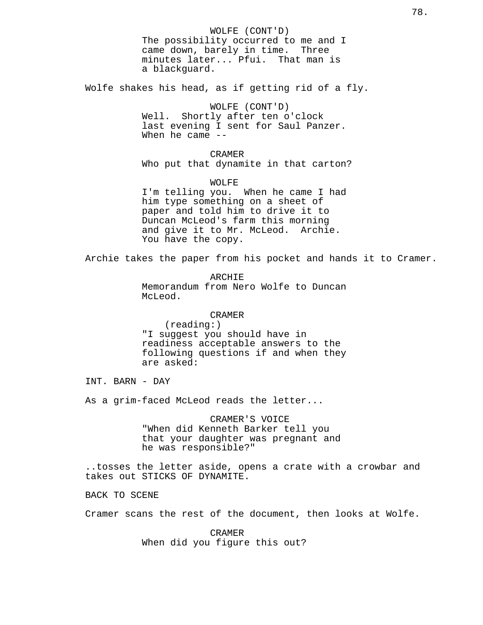WOLFE (CONT'D) The possibility occurred to me and I came down, barely in time. Three minutes later... Pfui. That man is a blackguard. Wolfe shakes his head, as if getting rid of a fly. WOLFE (CONT'D) Well. Shortly after ten o'clock last evening I sent for Saul Panzer. When he came  $-$ CRAMER Who put that dynamite in that carton? WOLFE I'm telling you. When he came I had him type something on a sheet of paper and told him to drive it to Duncan McLeod's farm this morning and give it to Mr. McLeod. Archie. You have the copy. Archie takes the paper from his pocket and hands it to Cramer. ARCHIE Memorandum from Nero Wolfe to Duncan McLeod. CRAMER (reading:) "I suggest you should have in readiness acceptable answers to the following questions if and when they are asked: INT. BARN - DAY As a grim-faced McLeod reads the letter... CRAMER'S VOICE "When did Kenneth Barker tell you that your daughter was pregnant and he was responsible?" ..tosses the letter aside, opens a crate with a crowbar and takes out STICKS OF DYNAMITE. BACK TO SCENE Cramer scans the rest of the document, then looks at Wolfe. CRAMER When did you figure this out?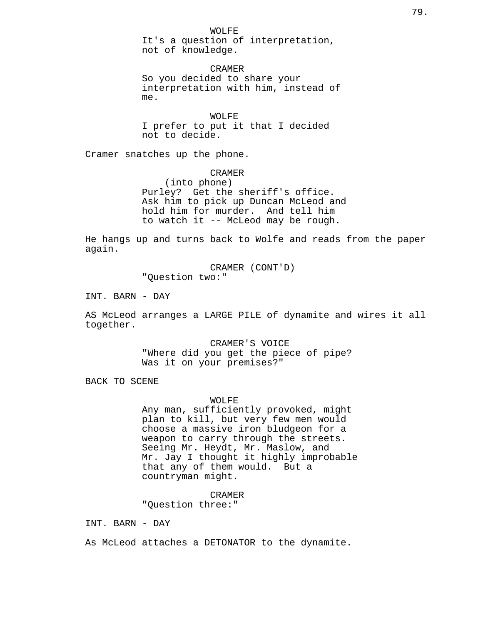WOLFE

It's a question of interpretation, not of knowledge.

CRAMER So you decided to share your interpretation with him, instead of me.

WOLFE I prefer to put it that I decided not to decide.

Cramer snatches up the phone.

CRAMER

(into phone) Purley? Get the sheriff's office. Ask him to pick up Duncan McLeod and hold him for murder. And tell him to watch it -- McLeod may be rough.

He hangs up and turns back to Wolfe and reads from the paper again.

> CRAMER (CONT'D) "Question two:"

INT. BARN - DAY

AS McLeod arranges a LARGE PILE of dynamite and wires it all together.

> CRAMER'S VOICE "Where did you get the piece of pipe? Was it on your premises?"

BACK TO SCENE

# WOLFE

Any man, sufficiently provoked, might plan to kill, but very few men would choose a massive iron bludgeon for a weapon to carry through the streets. Seeing Mr. Heydt, Mr. Maslow, and Mr. Jay I thought it highly improbable that any of them would. But a countryman might.

## CRAMER

"Question three:"

INT. BARN - DAY

As McLeod attaches a DETONATOR to the dynamite.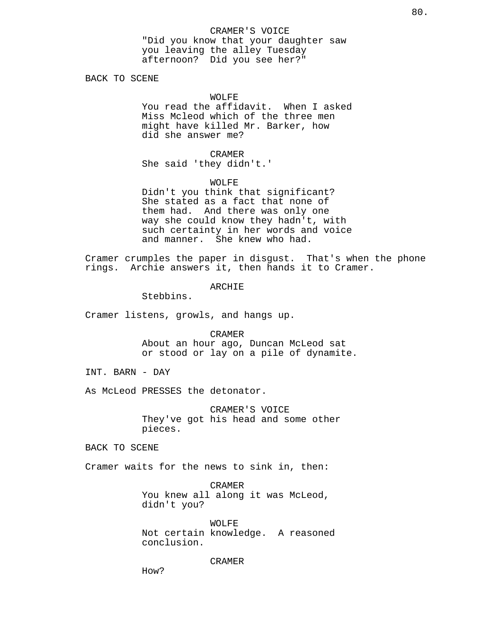BACK TO SCENE

### WOLFE

You read the affidavit. When I asked Miss Mcleod which of the three men might have killed Mr. Barker, how did she answer me?

CRAMER She said 'they didn't.'

#### WOLFE

Didn't you think that significant? She stated as a fact that none of them had. And there was only one way she could know they hadn't, with such certainty in her words and voice and manner. She knew who had.

Cramer crumples the paper in disgust. That's when the phone rings. Archie answers it, then hands it to Cramer.

ARCHIE

Stebbins.

Cramer listens, growls, and hangs up.

CRAMER About an hour ago, Duncan McLeod sat or stood or lay on a pile of dynamite.

INT. BARN - DAY

As McLeod PRESSES the detonator.

CRAMER'S VOICE They've got his head and some other pieces.

BACK TO SCENE

Cramer waits for the news to sink in, then:

CRAMER You knew all along it was McLeod, didn't you?

WOLFE Not certain knowledge. A reasoned conclusion.

CRAMER

How?